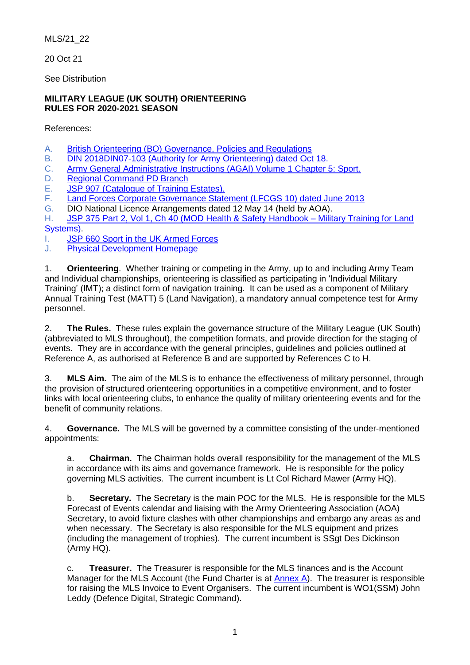MLS/21\_22

20 Oct 21

See Distribution

### **MILITARY LEAGUE (UK SOUTH) ORIENTEERING RULES FOR 2020-2021 SEASON**

References:

- A. [British Orienteering \(BO\) Governance, Policies and Regulations](http://www.britishorienteering.org.uk/page/governance_documents)
- B. [DIN 2018DIN07-103 \(Authority for Army Orienteering\) dated Oct 18.](http://defenceintranet.diif.r.mil.uk/libraries/corporate/DINStraining/2018/2018DIN07-103.pdf)
- C. [Army General Administrative Instructions \(AGAI\) Volume 1 Chapter 5: Sport.](https://modgovuk.sharepoint.com/sites/defnet/Corp/Army/Publications/AGAI_005.pdf#search=D%2E%09Sp%20Comd%20UK%20South%20Standing%20Instructions%20for%20Sport)
- D. [Regional Command PD Branch](http://defenceintranet.diif.r.mil.uk/Organisations/Orgs/Army/Organisations/Orgs/cfdt/Organisations/Orgs/DTrgA/phydev/Pages/Sport.aspx)
- E. JSP 907 [\(Catalogue of Training Estates\).](http://defenceintranet.diif.r.mil.uk/Organisations/Orgs/DIO/Organisations/DTE/Home/Pages/JSP907.aspx)
- F. [Land Forces Corporate Governance Statement \(LFCGS 10\) dated June 2013](http://defenceintranet.diif.r.mil.uk/libraries/1/Docs2/20140802.5/20130628-LFCGS_10_Insurance_V2_LFFRPSO1-U.DOC)
- G. DIO National Licence Arrangements dated 12 May 14 (held by AOA).

H. [JSP 375 Part 2, Vol 1, Ch 40 \(MOD Health & Safety Handbook –](http://defenceintranet.diif.r.mil.uk/libraries/library1/DINSJSPS/20141216.1/20141210_P2_V1_Chapter_40_Military_Traininig.pdf) Military Training for Land [Systems\).](http://defenceintranet.diif.r.mil.uk/libraries/library1/DINSJSPS/20141216.1/20141210_P2_V1_Chapter_40_Military_Traininig.pdf)

- I. [JSP 660 Sport in the UK Armed Forces](https://modgovuk.sharepoint.com/sites/defnet/HOCS/Documents/JSP660_Part1.pdf)
- J. [Physical Development Homepage](https://eur01.safelinks.protection.outlook.com/?url=http%3A%2F%2Fdefenceintranet.diif.r.mil.uk%2FOrganisations%2FOrgs%2FArmy%2FOrganisations%2FOrgs%2Fcfdt%2FOrganisations%2FOrgs%2FDTrgA%2Fphydev%2FPages%2FSport.aspx&data=04%7C01%7CTerence.Dickinson729%40mod.gov.uk%7C308e5e681a8c4ca9cf3508d8c4317b67%7Cbe7760ed5953484bae95d0a16dfa09e5%7C0%7C0%7C637475064080536543%7CUnknown%7CTWFpbGZsb3d8eyJWIjoiMC4wLjAwMDAiLCJQIjoiV2luMzIiLCJBTiI6Ik1haWwiLCJXVCI6Mn0%3D%7C1000&sdata=l%2B3lsY%2FhmIWzFD3crdvOtnEiJp%2BIvpRzenzmzhBr%2BUw%3D&reserved=0)

1. **Orienteering**. Whether training or competing in the Army, up to and including Army Team and Individual championships, orienteering is classified as participating in 'Individual Military Training' (IMT); a distinct form of navigation training. It can be used as a component of Military Annual Training Test (MATT) 5 (Land Navigation), a mandatory annual competence test for Army personnel.

2. **The Rules.** These rules explain the governance structure of the Military League (UK South) (abbreviated to MLS throughout), the competition formats, and provide direction for the staging of events. They are in accordance with the general principles, guidelines and policies outlined at Reference A, as authorised at Reference B and are supported by References C to H.

3. **MLS Aim.** The aim of the MLS is to enhance the effectiveness of military personnel, through the provision of structured orienteering opportunities in a competitive environment, and to foster links with local orienteering clubs, to enhance the quality of military orienteering events and for the benefit of community relations.

4. **Governance.** The MLS will be governed by a committee consisting of the under-mentioned appointments:

a. **Chairman.** The Chairman holds overall responsibility for the management of the MLS in accordance with its aims and governance framework. He is responsible for the policy governing MLS activities. The current incumbent is Lt Col Richard Mawer (Army HQ).

b. **Secretary.** The Secretary is the main POC for the MLS. He is responsible for the MLS Forecast of Events calendar and liaising with the Army Orienteering Association (AOA) Secretary, to avoid fixture clashes with other championships and embargo any areas as and when necessary. The Secretary is also responsible for the MLS equipment and prizes (including the management of trophies). The current incumbent is SSgt Des Dickinson (Army HQ).

c. **Treasurer.** The Treasurer is responsible for the MLS finances and is the Account Manager for the MLS Account (the Fund Charter is at [Annex A\)](#page-12-0). The treasurer is responsible for raising the MLS Invoice to Event Organisers. The current incumbent is WO1(SSM) John Leddy (Defence Digital, Strategic Command).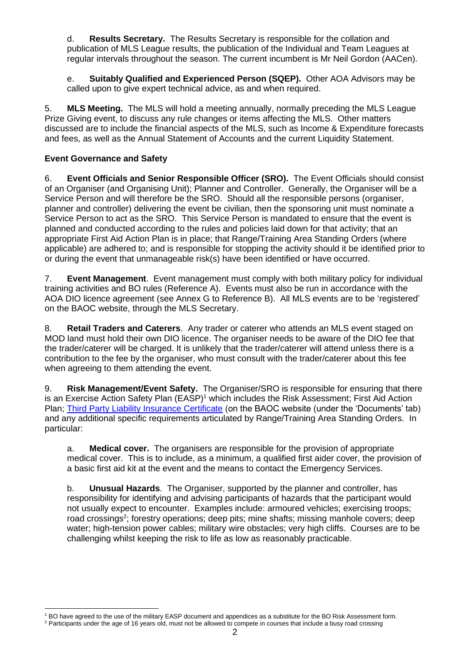d. **Results Secretary.** The Results Secretary is responsible for the collation and publication of MLS League results, the publication of the Individual and Team Leagues at regular intervals throughout the season. The current incumbent is Mr Neil Gordon (AACen).

e. **Suitably Qualified and Experienced Person (SQEP).** Other AOA Advisors may be called upon to give expert technical advice, as and when required.

5. **MLS Meeting.** The MLS will hold a meeting annually, normally preceding the MLS League Prize Giving event, to discuss any rule changes or items affecting the MLS. Other matters discussed are to include the financial aspects of the MLS, such as Income & Expenditure forecasts and fees, as well as the Annual Statement of Accounts and the current Liquidity Statement.

## **Event Governance and Safety**

6. **Event Officials and Senior Responsible Officer (SRO).** The Event Officials should consist of an Organiser (and Organising Unit); Planner and Controller. Generally, the Organiser will be a Service Person and will therefore be the SRO. Should all the responsible persons (organiser, planner and controller) delivering the event be civilian, then the sponsoring unit must nominate a Service Person to act as the SRO. This Service Person is mandated to ensure that the event is planned and conducted according to the rules and policies laid down for that activity; that an appropriate First Aid Action Plan is in place; that Range/Training Area Standing Orders (where applicable) are adhered to; and is responsible for stopping the activity should it be identified prior to or during the event that unmanageable risk(s) have been identified or have occurred.

7. **Event Management**. Event management must comply with both military policy for individual training activities and BO rules (Reference A). Events must also be run in accordance with the AOA DIO licence agreement (see Annex G to Reference B). All MLS events are to be 'registered' on the BAOC website, through the MLS Secretary.

8. **Retail Traders and Caterers**. Any trader or caterer who attends an MLS event staged on MOD land must hold their own DIO licence. The organiser needs to be aware of the DIO fee that the trader/caterer will be charged. It is unlikely that the trader/caterer will attend unless there is a contribution to the fee by the organiser, who must consult with the trader/caterer about this fee when agreeing to them attending the event.

9. **Risk Management/Event Safety.** The Organiser/SRO is responsible for ensuring that there is an Exercise Action Safety Plan  $(EASP)^1$  which includes the Risk Assessment; First Aid Action Plan; [Third Party Liability Insurance Certificate](http://www.baoc.info/sites/default/files/2019/01/07/AOA%20Policy%20Schedule%202019_0.pdf?_ga=2.99767254.935388541.1571055613-1731017422.1563186616) (on the BAOC website (under the 'Documents' tab) and any additional specific requirements articulated by Range/Training Area Standing Orders. In particular:

a. **Medical cover.** The organisers are responsible for the provision of appropriate medical cover. This is to include, as a minimum, a qualified first aider cover, the provision of a basic first aid kit at the event and the means to contact the Emergency Services.

b. **Unusual Hazards**. The Organiser, supported by the planner and controller, has responsibility for identifying and advising participants of hazards that the participant would not usually expect to encounter. Examples include: armoured vehicles; exercising troops; road crossings<sup>2</sup>; forestry operations; deep pits; mine shafts; missing manhole covers; deep water; high-tension power cables; military wire obstacles; very high cliffs. Courses are to be challenging whilst keeping the risk to life as low as reasonably practicable.

<sup>1</sup> BO have agreed to the use of the military EASP document and appendices as a substitute for the BO Risk Assessment form.

<sup>&</sup>lt;sup>2</sup> Participants under the age of 16 years old, must not be allowed to compete in courses that include a busy road crossing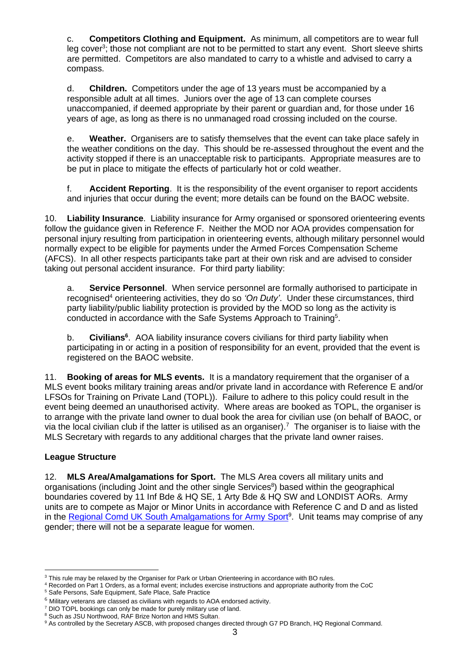c. **Competitors Clothing and Equipment.** As minimum, all competitors are to wear full leg cover<sup>3</sup>; those not compliant are not to be permitted to start any event. Short sleeve shirts are permitted. Competitors are also mandated to carry to a whistle and advised to carry a compass.

d. **Children.** Competitors under the age of 13 years must be accompanied by a responsible adult at all times. Juniors over the age of 13 can complete courses unaccompanied, if deemed appropriate by their parent or guardian and, for those under 16 years of age, as long as there is no unmanaged road crossing included on the course.

e. **Weather.** Organisers are to satisfy themselves that the event can take place safely in the weather conditions on the day. This should be re-assessed throughout the event and the activity stopped if there is an unacceptable risk to participants. Appropriate measures are to be put in place to mitigate the effects of particularly hot or cold weather.

f. **Accident Reporting**. It is the responsibility of the event organiser to report accidents and injuries that occur during the event; more details can be found on the BAOC website.

10. **Liability Insurance**. Liability insurance for Army organised or sponsored orienteering events follow the guidance given in Reference F. Neither the MOD nor AOA provides compensation for personal injury resulting from participation in orienteering events, although military personnel would normally expect to be eligible for payments under the Armed Forces Compensation Scheme (AFCS). In all other respects participants take part at their own risk and are advised to consider taking out personal accident insurance. For third party liability:

a. **Service Personnel**. When service personnel are formally authorised to participate in recognised<sup>4</sup> orienteering activities, they do so 'On Duty'. Under these circumstances, third party liability/public liability protection is provided by the MOD so long as the activity is conducted in accordance with the Safe Systems Approach to Training<sup>5</sup>.

b. **Civilians<sup>6</sup>**. AOA liability insurance covers civilians for third party liability when participating in or acting in a position of responsibility for an event, provided that the event is registered on the BAOC website.

11. **Booking of areas for MLS events.** It is a mandatory requirement that the organiser of a MLS event books military training areas and/or private land in accordance with Reference E and/or LFSOs for Training on Private Land (TOPL)). Failure to adhere to this policy could result in the event being deemed an unauthorised activity. Where areas are booked as TOPL, the organiser is to arrange with the private land owner to dual book the area for civilian use (on behalf of BAOC, or via the local civilian club if the latter is utilised as an organiser).<sup>7</sup> The organiser is to liaise with the MLS Secretary with regards to any additional charges that the private land owner raises.

## **League Structure**

12. **MLS Area/Amalgamations for Sport.** The MLS Area covers all military units and organisations (including Joint and the other single Services<sup>8</sup>) based within the geographical boundaries covered by 11 Inf Bde & HQ SE, 1 Arty Bde & HQ SW and LONDIST AORs. Army units are to compete as Major or Minor Units in accordance with Reference C and D and as listed in the **Regional Comd UK South Amalgamations for Army Sport<sup>9</sup>. Unit teams may comprise of any** gender; there will not be a separate league for women.

<sup>&</sup>lt;sup>3</sup> This rule may be relaxed by the Organiser for Park or Urban Orienteering in accordance with BO rules.

<sup>4</sup> Recorded on Part 1 Orders, as a formal event; includes exercise instructions and appropriate authority from the CoC

<sup>5</sup> Safe Persons, Safe Equipment, Safe Place, Safe Practice

 $6$  Militarv veterans are classed as civilians with regards to AOA endorsed activity.

<sup>&</sup>lt;sup>7</sup> DIO TOPL bookings can only be made for purely military use of land.

<sup>&</sup>lt;sup>8</sup> Such as JSU Northwood, RAF Brize Norton and HMS Sultan.

<sup>&</sup>lt;sup>9</sup> As controlled by the Secretary ASCB, with proposed changes directed through G7 PD Branch, HQ Regional Command.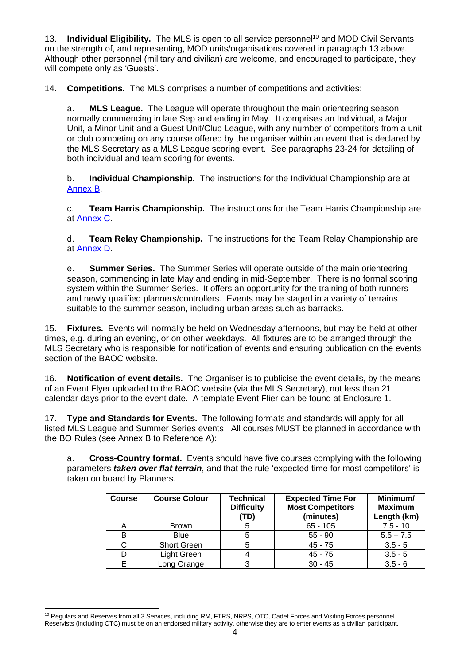13. **Individual Eligibility.** The MLS is open to all service personnel<sup>10</sup> and MOD Civil Servants on the strength of, and representing, MOD units/organisations covered in paragraph 13 above. Although other personnel (military and civilian) are welcome, and encouraged to participate, they will compete only as 'Guests'.

14. **Competitions.** The MLS comprises a number of competitions and activities:

a. **MLS League.** The League will operate throughout the main orienteering season, normally commencing in late Sep and ending in May. It comprises an Individual, a Major Unit, a Minor Unit and a Guest Unit/Club League, with any number of competitors from a unit or club competing on any course offered by the organiser within an event that is declared by the MLS Secretary as a MLS League scoring event. See paragraphs 23-24 for detailing of both individual and team scoring for events.

b. **Individual Championship.** The instructions for the Individual Championship are at [Annex B.](#page-13-0)

c. **Team Harris Championship.** The instructions for the Team Harris Championship are at [Annex C.](#page-14-0)

d. **Team Relay Championship.** The instructions for the Team Relay Championship are at [Annex D.](#page-16-0)

e. **Summer Series.** The Summer Series will operate outside of the main orienteering season, commencing in late May and ending in mid-September. There is no formal scoring system within the Summer Series. It offers an opportunity for the training of both runners and newly qualified planners/controllers. Events may be staged in a variety of terrains suitable to the summer season, including urban areas such as barracks.

15. **Fixtures.** Events will normally be held on Wednesday afternoons, but may be held at other times, e.g. during an evening, or on other weekdays. All fixtures are to be arranged through the MLS Secretary who is responsible for notification of events and ensuring publication on the events section of the BAOC website.

16. **Notification of event details.** The Organiser is to publicise the event details, by the means of an Event Flyer uploaded to the BAOC website (via the MLS Secretary), not less than 21 calendar days prior to the event date. A template Event Flier can be found at Enclosure 1.

17. **Type and Standards for Events.** The following formats and standards will apply for all listed MLS League and Summer Series events. All courses MUST be planned in accordance with the BO Rules (see Annex B to Reference A):

a. **Cross-Country format.** Events should have five courses complying with the following parameters *taken over flat terrain*, and that the rule 'expected time for most competitors' is taken on board by Planners.

| <b>Course</b> | <b>Course Colour</b> | <b>Technical</b><br><b>Difficulty</b><br>(TD) | <b>Expected Time For</b><br><b>Most Competitors</b><br>(minutes) | Minimum/<br><b>Maximum</b><br>Length (km) |
|---------------|----------------------|-----------------------------------------------|------------------------------------------------------------------|-------------------------------------------|
| А             | <b>Brown</b>         |                                               | $65 - 105$                                                       | $7.5 - 10$                                |
| B             | <b>Blue</b>          |                                               | $55 - 90$                                                        | $5.5 - 7.5$                               |
| С             | <b>Short Green</b>   |                                               | $45 - 75$                                                        | $3.5 - 5$                                 |
|               | Light Green          |                                               | $45 - 75$                                                        | $3.5 - 5$                                 |
| Е             | Long Orange          |                                               | $30 - 45$                                                        | $3.5 - 6$                                 |

<sup>10</sup> Regulars and Reserves from all 3 Services, including RM, FTRS, NRPS, OTC, Cadet Forces and Visiting Forces personnel. Reservists (including OTC) must be on an endorsed military activity, otherwise they are to enter events as a civilian participant.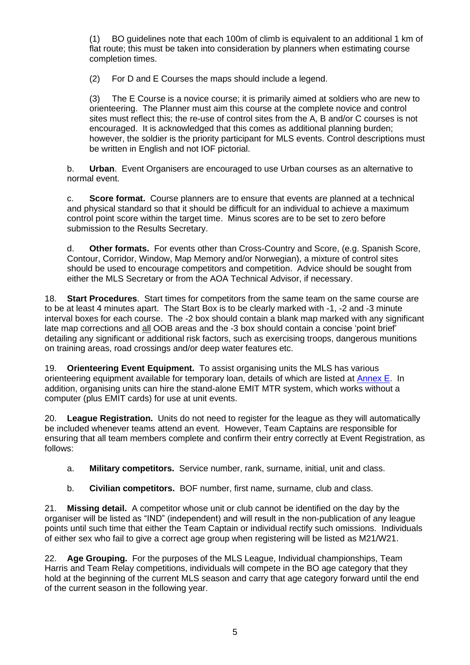(1) BO guidelines note that each 100m of climb is equivalent to an additional 1 km of flat route; this must be taken into consideration by planners when estimating course completion times.

(2) For D and E Courses the maps should include a legend.

(3) The E Course is a novice course; it is primarily aimed at soldiers who are new to orienteering. The Planner must aim this course at the complete novice and control sites must reflect this; the re-use of control sites from the A, B and/or C courses is not encouraged. It is acknowledged that this comes as additional planning burden; however, the soldier is the priority participant for MLS events. Control descriptions must be written in English and not IOF pictorial.

b. **Urban**. Event Organisers are encouraged to use Urban courses as an alternative to normal event.

c. **Score format.** Course planners are to ensure that events are planned at a technical and physical standard so that it should be difficult for an individual to achieve a maximum control point score within the target time. Minus scores are to be set to zero before submission to the Results Secretary.

d. **Other formats.** For events other than Cross-Country and Score, (e.g. Spanish Score, Contour, Corridor, Window, Map Memory and/or Norwegian), a mixture of control sites should be used to encourage competitors and competition. Advice should be sought from either the MLS Secretary or from the AOA Technical Advisor, if necessary.

18. **Start Procedures**. Start times for competitors from the same team on the same course are to be at least 4 minutes apart. The Start Box is to be clearly marked with -1, -2 and -3 minute interval boxes for each course. The -2 box should contain a blank map marked with any significant late map corrections and all OOB areas and the -3 box should contain a concise 'point brief' detailing any significant or additional risk factors, such as exercising troops, dangerous munitions on training areas, road crossings and/or deep water features etc.

19. **Orienteering Event Equipment.** To assist organising units the MLS has various orienteering equipment available for temporary loan, details of which are listed at [Annex](#page-18-0) E. In addition, organising units can hire the stand-alone EMIT MTR system, which works without a computer (plus EMIT cards) for use at unit events.

20. **League Registration.** Units do not need to register for the league as they will automatically be included whenever teams attend an event. However, Team Captains are responsible for ensuring that all team members complete and confirm their entry correctly at Event Registration, as follows:

- a. **Military competitors.** Service number, rank, surname, initial, unit and class.
- b. **Civilian competitors.** BOF number, first name, surname, club and class.

21. **Missing detail.** A competitor whose unit or club cannot be identified on the day by the organiser will be listed as "IND" (independent) and will result in the non-publication of any league points until such time that either the Team Captain or individual rectify such omissions. Individuals of either sex who fail to give a correct age group when registering will be listed as M21/W21.

22. **Age Grouping.** For the purposes of the MLS League, Individual championships, Team Harris and Team Relay competitions, individuals will compete in the BO age category that they hold at the beginning of the current MLS season and carry that age category forward until the end of the current season in the following year.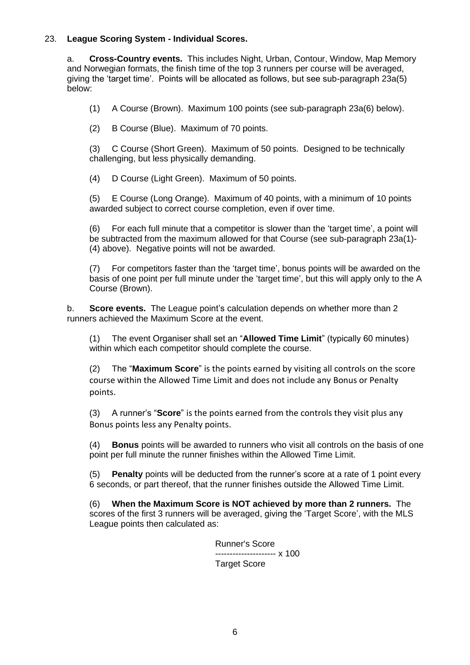### 23. **League Scoring System - Individual Scores.**

a. **Cross-Country events.** This includes Night, Urban, Contour, Window, Map Memory and Norwegian formats, the finish time of the top 3 runners per course will be averaged, giving the 'target time'. Points will be allocated as follows, but see sub-paragraph 23a(5) below:

- (1) A Course (Brown). Maximum 100 points (see sub-paragraph 23a(6) below).
- (2) B Course (Blue). Maximum of 70 points.

(3) C Course (Short Green). Maximum of 50 points. Designed to be technically challenging, but less physically demanding.

(4) D Course (Light Green). Maximum of 50 points.

(5) E Course (Long Orange). Maximum of 40 points, with a minimum of 10 points awarded subject to correct course completion, even if over time.

(6) For each full minute that a competitor is slower than the 'target time', a point will be subtracted from the maximum allowed for that Course (see sub-paragraph 23a(1)- (4) above). Negative points will not be awarded.

(7) For competitors faster than the 'target time', bonus points will be awarded on the basis of one point per full minute under the 'target time', but this will apply only to the A Course (Brown).

b. **Score events.** The League point's calculation depends on whether more than 2 runners achieved the Maximum Score at the event.

(1) The event Organiser shall set an "**Allowed Time Limit**" (typically 60 minutes) within which each competitor should complete the course.

(2) The "**Maximum Score**" is the points earned by visiting all controls on the score course within the Allowed Time Limit and does not include any Bonus or Penalty points.

(3) A runner's "**Score**" is the points earned from the controls they visit plus any Bonus points less any Penalty points.

(4) **Bonus** points will be awarded to runners who visit all controls on the basis of one point per full minute the runner finishes within the Allowed Time Limit.

(5) **Penalty** points will be deducted from the runner's score at a rate of 1 point every 6 seconds, or part thereof, that the runner finishes outside the Allowed Time Limit.

(6) **When the Maximum Score is NOT achieved by more than 2 runners.** The scores of the first 3 runners will be averaged, giving the 'Target Score', with the MLS League points then calculated as:

> Runner's Score --------------------- x 100 Target Score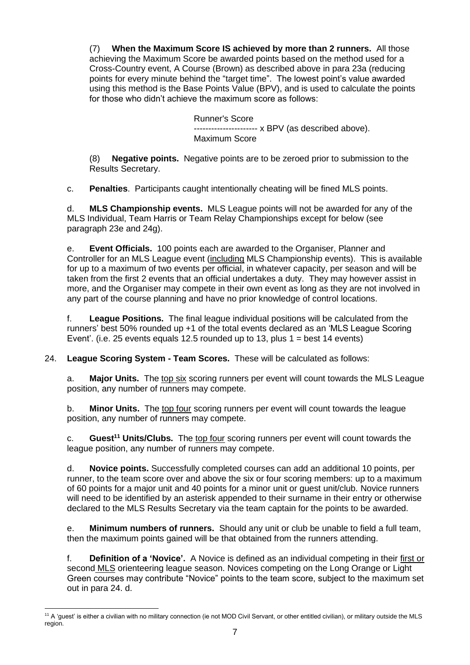(7) **When the Maximum Score IS achieved by more than 2 runners.** All those achieving the Maximum Score be awarded points based on the method used for a Cross-Country event, A Course (Brown) as described above in para 23a (reducing points for every minute behind the "target time". The lowest point's value awarded using this method is the Base Points Value (BPV), and is used to calculate the points for those who didn't achieve the maximum score as follows:

> Runner's Score ---------------------- x BPV (as described above). Maximum Score

(8) **Negative points.** Negative points are to be zeroed prior to submission to the Results Secretary.

c. **Penalties**. Participants caught intentionally cheating will be fined MLS points.

d. **MLS Championship events.** MLS League points will not be awarded for any of the MLS Individual, Team Harris or Team Relay Championships except for below (see paragraph 23e and 24g).

e. **Event Officials.** 100 points each are awarded to the Organiser, Planner and Controller for an MLS League event (including MLS Championship events). This is available for up to a maximum of two events per official, in whatever capacity, per season and will be taken from the first 2 events that an official undertakes a duty. They may however assist in more, and the Organiser may compete in their own event as long as they are not involved in any part of the course planning and have no prior knowledge of control locations.

f. **League Positions.** The final league individual positions will be calculated from the runners' best 50% rounded up +1 of the total events declared as an 'MLS League Scoring Event'. (i.e. 25 events equals 12.5 rounded up to 13, plus  $1 =$  best 14 events)

24. **League Scoring System - Team Scores.** These will be calculated as follows:

a. **Major Units.** The top six scoring runners per event will count towards the MLS League position, any number of runners may compete.

b. **Minor Units.** The top four scoring runners per event will count towards the league position, any number of runners may compete.

c. **Guest<sup>11</sup> Units/Clubs.** The top four scoring runners per event will count towards the league position, any number of runners may compete.

d. **Novice points.** Successfully completed courses can add an additional 10 points, per runner, to the team score over and above the six or four scoring members: up to a maximum of 60 points for a major unit and 40 points for a minor unit or guest unit/club. Novice runners will need to be identified by an asterisk appended to their surname in their entry or otherwise declared to the MLS Results Secretary via the team captain for the points to be awarded.

e. **Minimum numbers of runners.** Should any unit or club be unable to field a full team, then the maximum points gained will be that obtained from the runners attending.

f. **Definition of a 'Novice'.** A Novice is defined as an individual competing in their first or second MLS orienteering league season. Novices competing on the Long Orange or Light Green courses may contribute "Novice" points to the team score, subject to the maximum set out in para 24. d.

<sup>11</sup> A 'guest' is either a civilian with no military connection (ie not MOD Civil Servant, or other entitled civilian), or military outside the MLS region.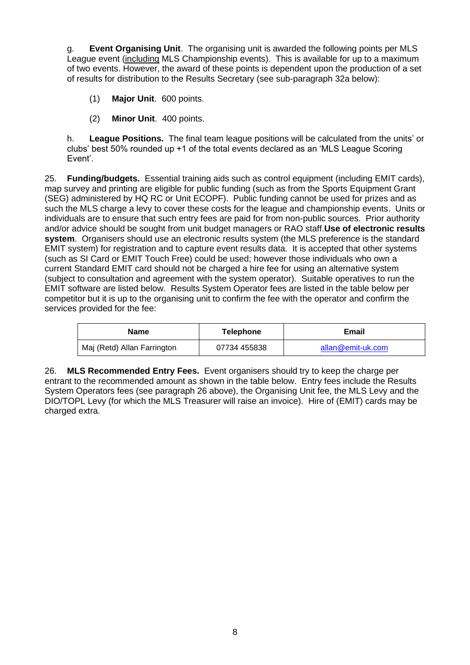g. **Event Organising Unit**. The organising unit is awarded the following points per MLS League event (including MLS Championship events). This is available for up to a maximum of two events. However, the award of these points is dependent upon the production of a set of results for distribution to the Results Secretary (see sub-paragraph 32a below):

- (1) **Major Unit**. 600 points.
- (2) **Minor Unit**. 400 points.

h. **League Positions.** The final team league positions will be calculated from the units' or clubs' best 50% rounded up +1 of the total events declared as an 'MLS League Scoring Event'.

25. **Funding/budgets.** Essential training aids such as control equipment (including EMIT cards), map survey and printing are eligible for public funding (such as from the Sports Equipment Grant (SEG) administered by HQ RC or Unit ECOPF). Public funding cannot be used for prizes and as such the MLS charge a levy to cover these costs for the league and championship events. Units or individuals are to ensure that such entry fees are paid for from non-public sources. Prior authority and/or advice should be sought from unit budget managers or RAO staff.**Use of electronic results system**. Organisers should use an electronic results system (the MLS preference is the standard EMIT system) for registration and to capture event results data. It is accepted that other systems (such as SI Card or EMIT Touch Free) could be used; however those individuals who own a current Standard EMIT card should not be charged a hire fee for using an alternative system (subject to consultation and agreement with the system operator). Suitable operatives to run the EMIT software are listed below. Results System Operator fees are listed in the table below per competitor but it is up to the organising unit to confirm the fee with the operator and confirm the services provided for the fee:

| <b>Name</b>                 | Telephone    | Email             |  |  |
|-----------------------------|--------------|-------------------|--|--|
| Maj (Retd) Allan Farrington | 07734 455838 | allan@emit-uk.com |  |  |

26. **MLS Recommended Entry Fees.** Event organisers should try to keep the charge per entrant to the recommended amount as shown in the table below. Entry fees include the Results System Operators fees (see paragraph 26 above), the Organising Unit fee, the MLS Levy and the DIO/TOPL Levy (for which the MLS Treasurer will raise an invoice). Hire of (EMIT) cards may be charged extra.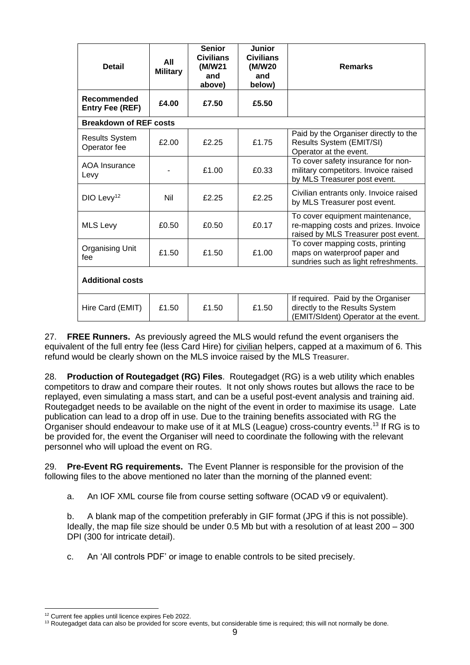| <b>Detail</b>                                            | All<br><b>Military</b>        | <b>Senior</b><br><b>Civilians</b><br>(M/W21<br>and<br>above)                                             | <b>Junior</b><br><b>Civilians</b><br>(M/W20<br>and<br>below) | <b>Remarks</b>                                                                                                 |  |  |  |  |
|----------------------------------------------------------|-------------------------------|----------------------------------------------------------------------------------------------------------|--------------------------------------------------------------|----------------------------------------------------------------------------------------------------------------|--|--|--|--|
| Recommended<br><b>Entry Fee (REF)</b>                    | £4.00                         | £7.50                                                                                                    | £5.50                                                        |                                                                                                                |  |  |  |  |
|                                                          | <b>Breakdown of REF costs</b> |                                                                                                          |                                                              |                                                                                                                |  |  |  |  |
| <b>Results System</b><br>Operator fee                    | £2.00                         | £2.25                                                                                                    | £1.75                                                        | Paid by the Organiser directly to the<br>Results System (EMIT/SI)<br>Operator at the event.                    |  |  |  |  |
| AOA Insurance<br>Levy                                    |                               | £1.00                                                                                                    | £0.33                                                        | To cover safety insurance for non-<br>military competitors. Invoice raised<br>by MLS Treasurer post event.     |  |  |  |  |
| DIO Levy <sup>12</sup>                                   | Nil                           | £2.25                                                                                                    | £2.25                                                        | Civilian entrants only. Invoice raised<br>by MLS Treasurer post event.                                         |  |  |  |  |
| <b>MLS Levy</b>                                          | £0.50                         | £0.50                                                                                                    | £0.17                                                        | To cover equipment maintenance,<br>re-mapping costs and prizes. Invoice<br>raised by MLS Treasurer post event. |  |  |  |  |
| <b>Organising Unit</b><br>£1.50<br>£1.50<br>£1.00<br>fee |                               | To cover mapping costs, printing<br>maps on waterproof paper and<br>sundries such as light refreshments. |                                                              |                                                                                                                |  |  |  |  |
| <b>Additional costs</b>                                  |                               |                                                                                                          |                                                              |                                                                                                                |  |  |  |  |
| Hire Card (EMIT)                                         | £1.50                         | £1.50                                                                                                    | £1.50                                                        | If required. Paid by the Organiser<br>directly to the Results System<br>(EMIT/SIdent) Operator at the event.   |  |  |  |  |

27. **FREE Runners.** As previously agreed the MLS would refund the event organisers the equivalent of the full entry fee (less Card Hire) for civilian helpers, capped at a maximum of 6. This refund would be clearly shown on the MLS invoice raised by the MLS Treasurer.

28. **Production of Routegadget (RG) Files**. Routegadget (RG) is a web utility which enables competitors to draw and compare their routes. It not only shows routes but allows the race to be replayed, even simulating a mass start, and can be a useful post-event analysis and training aid. Routegadget needs to be available on the night of the event in order to maximise its usage. Late publication can lead to a drop off in use. Due to the training benefits associated with RG the Organiser should endeavour to make use of it at MLS (League) cross-country events.<sup>13</sup> If RG is to be provided for, the event the Organiser will need to coordinate the following with the relevant personnel who will upload the event on RG.

29. **Pre-Event RG requirements.** The Event Planner is responsible for the provision of the following files to the above mentioned no later than the morning of the planned event:

a. An IOF XML course file from course setting software (OCAD v9 or equivalent).

b. A blank map of the competition preferably in GIF format (JPG if this is not possible). Ideally, the map file size should be under 0.5 Mb but with a resolution of at least 200 – 300 DPI (300 for intricate detail).

c. An 'All controls PDF' or image to enable controls to be sited precisely.

<sup>&</sup>lt;sup>12</sup> Current fee applies until licence expires Feb 2022.

<sup>&</sup>lt;sup>13</sup> Routegadget data can also be provided for score events, but considerable time is required; this will not normally be done.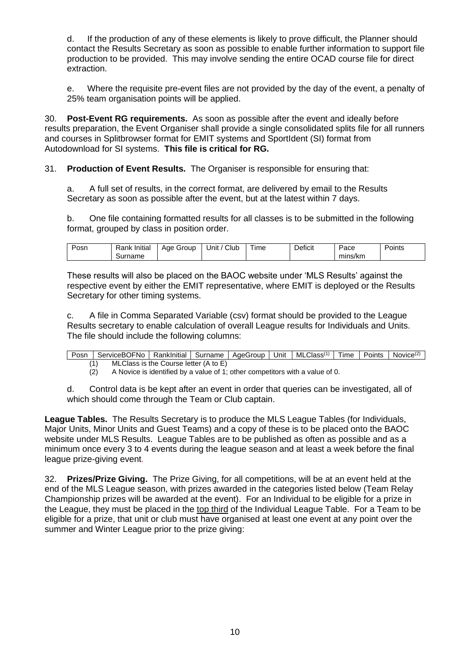d. If the production of any of these elements is likely to prove difficult, the Planner should contact the Results Secretary as soon as possible to enable further information to support file production to be provided. This may involve sending the entire OCAD course file for direct extraction.

e. Where the requisite pre-event files are not provided by the day of the event, a penalty of 25% team organisation points will be applied.

30. **Post-Event RG requirements.** As soon as possible after the event and ideally before results preparation, the Event Organiser shall provide a single consolidated splits file for all runners and courses in Splitbrowser format for EMIT systems and SportIdent (SI) format from Autodownload for SI systems. **This file is critical for RG.**

31. **Production of Event Results.** The Organiser is responsible for ensuring that:

a. A full set of results, in the correct format, are delivered by email to the Results Secretary as soon as possible after the event, but at the latest within 7 days.

b. One file containing formatted results for all classes is to be submitted in the following format, grouped by class in position order.

| -<br>Posn | .<br>-<br>Initia<br>Rank<br>Surname | Group<br>Aae | Club<br>. .<br>Unit | $\overline{\phantom{a}}$<br><b>l</b> ime | Deficit | acce<br>mins/km | -<br>Points<br>. . |
|-----------|-------------------------------------|--------------|---------------------|------------------------------------------|---------|-----------------|--------------------|
|           |                                     |              |                     |                                          |         |                 |                    |

These results will also be placed on the BAOC website under 'MLS Results' against the respective event by either the EMIT representative, where EMIT is deployed or the Results Secretary for other timing systems.

c. A file in Comma Separated Variable (csv) format should be provided to the League Results secretary to enable calculation of overall League results for Individuals and Units. The file should include the following columns:

Posn ServiceBOFNo RankInitial Surname AgeGroup Unit MLClass<sup>(1)</sup> Time Points Novice<sup>(2)</sup> (1) MLClass is the Course letter (A to E)

 $\overrightarrow{2}$  A Novice is identified by a value of 1; other competitors with a value of 0.

d. Control data is be kept after an event in order that queries can be investigated, all of which should come through the Team or Club captain.

**League Tables.** The Results Secretary is to produce the MLS League Tables (for Individuals, Major Units, Minor Units and Guest Teams) and a copy of these is to be placed onto the BAOC website under MLS Results. League Tables are to be published as often as possible and as a minimum once every 3 to 4 events during the league season and at least a week before the final league prize-giving event.

32. **Prizes/Prize Giving.** The Prize Giving, for all competitions, will be at an event held at the end of the MLS League season, with prizes awarded in the categories listed below (Team Relay Championship prizes will be awarded at the event). For an Individual to be eligible for a prize in the League, they must be placed in the top third of the Individual League Table. For a Team to be eligible for a prize, that unit or club must have organised at least one event at any point over the summer and Winter League prior to the prize giving: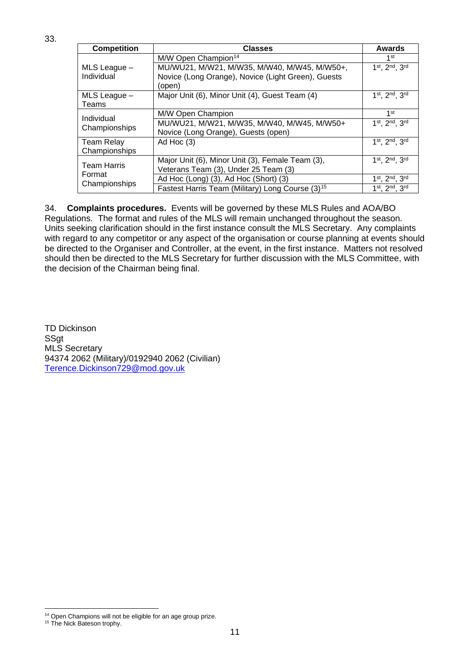| <b>Competition</b>                 | <b>Classes</b>                                                                     | <b>Awards</b>   |
|------------------------------------|------------------------------------------------------------------------------------|-----------------|
|                                    | M/W Open Champion <sup>14</sup>                                                    | 1 <sup>st</sup> |
| MLS League -                       | MU/WU21, M/W21, M/W35, M/W40, M/W45, M/W50+,                                       | 1st, 2nd, 3rd   |
| Individual                         | Novice (Long Orange), Novice (Light Green), Guests<br>(open)                       |                 |
| MLS League -<br>Teams              | Major Unit (6), Minor Unit (4), Guest Team (4)                                     | 1st, 2nd, 3rd   |
|                                    | M/W Open Champion                                                                  | 1 <sup>st</sup> |
| Individual<br>Championships        | MU/WU21, M/W21, M/W35, M/W40, M/W45, M/W50+<br>Novice (Long Orange), Guests (open) | 1st, 2nd, 3rd   |
| <b>Team Relay</b><br>Championships | Ad Hoc $(3)$                                                                       | 1st, 2nd, 3rd   |
|                                    | Major Unit (6), Minor Unit (3), Female Team (3),                                   | 1st, 2nd, 3rd   |
| <b>Team Harris</b><br>Format       | Veterans Team (3), Under 25 Team (3)                                               |                 |
| Championships                      | Ad Hoc (Long) (3), Ad Hoc (Short) (3)                                              | 1st, 2nd, 3rd   |
|                                    | Fastest Harris Team (Military) Long Course (3) <sup>15</sup>                       | 1st, 2nd, 3rd   |

34. **Complaints procedures.** Events will be governed by these MLS Rules and AOA/BO Regulations. The format and rules of the MLS will remain unchanged throughout the season. Units seeking clarification should in the first instance consult the MLS Secretary. Any complaints with regard to any competitor or any aspect of the organisation or course planning at events should be directed to the Organiser and Controller, at the event, in the first instance. Matters not resolved should then be directed to the MLS Secretary for further discussion with the MLS Committee, with the decision of the Chairman being final.

TD Dickinson SSgt MLS Secretary 94374 2062 (Military)/0192940 2062 (Civilian) [Terence.Dickinson729@mod.gov.uk](mailto:terence.dickinson729@mod.gov.uk)

<sup>&</sup>lt;sup>14</sup> Open Champions will not be eligible for an age group prize.

<sup>&</sup>lt;sup>15</sup> The Nick Bateson trophy.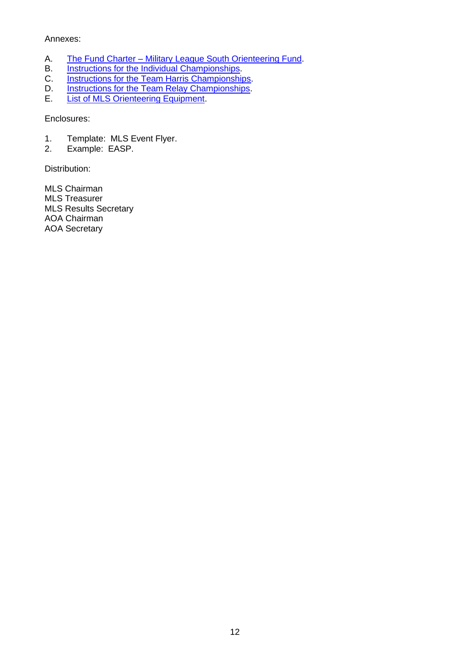### Annexes:

- A. The Fund Charter [Military League South Orienteering Fund.](#page-12-0)<br>B. Instructions for the Individual Championships.
- B. [Instructions for the Individual Championships.](#page-13-0)<br>C. Instructions for the Team Harris Championship
- [Instructions for the Team Harris Championships.](#page-14-0)
- D. **[Instructions for the Team Relay Championships.](#page-16-0)**
- E. **[List of MLS Orienteering Equipment.](#page-18-0)**

Enclosures:

- 1. Template: MLS Event Flyer.
- 2. Example: EASP.

Distribution:

MLS Chairman MLS Treasurer MLS Results Secretary AOA Chairman AOA Secretary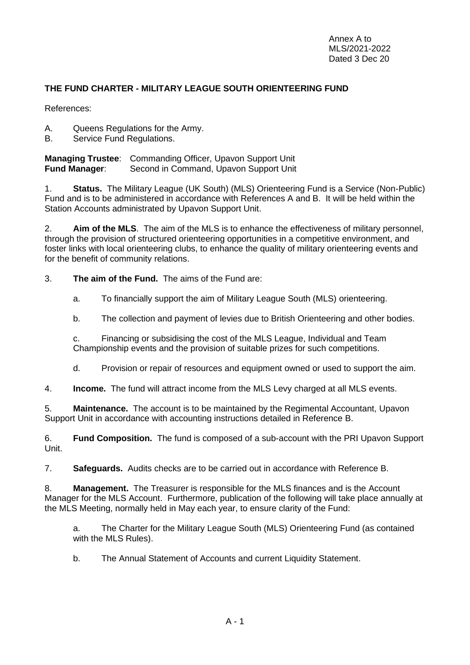## <span id="page-12-0"></span>**THE FUND CHARTER - MILITARY LEAGUE SOUTH ORIENTEERING FUND**

References:

- A. Queens Regulations for the Army.
- B. Service Fund Regulations.

**Managing Trustee**: Commanding Officer, Upavon Support Unit **Fund Manager**: Second in Command, Upavon Support Unit

1. **Status.** The Military League (UK South) (MLS) Orienteering Fund is a Service (Non-Public) Fund and is to be administered in accordance with References A and B. It will be held within the Station Accounts administrated by Upavon Support Unit.

2. **Aim of the MLS**.The aim of the MLS is to enhance the effectiveness of military personnel, through the provision of structured orienteering opportunities in a competitive environment, and foster links with local orienteering clubs, to enhance the quality of military orienteering events and for the benefit of community relations.

3. **The aim of the Fund.** The aims of the Fund are:

- a. To financially support the aim of Military League South (MLS) orienteering.
- b. The collection and payment of levies due to British Orienteering and other bodies.

c. Financing or subsidising the cost of the MLS League, Individual and Team Championship events and the provision of suitable prizes for such competitions.

d. Provision or repair of resources and equipment owned or used to support the aim.

4. **Income.** The fund will attract income from the MLS Levy charged at all MLS events.

5. **Maintenance.** The account is to be maintained by the Regimental Accountant, Upavon Support Unit in accordance with accounting instructions detailed in Reference B.

6. **Fund Composition.** The fund is composed of a sub-account with the PRI Upavon Support Unit.

7. **Safeguards.** Audits checks are to be carried out in accordance with Reference B.

8. **Management.** The Treasurer is responsible for the MLS finances and is the Account Manager for the MLS Account. Furthermore, publication of the following will take place annually at the MLS Meeting, normally held in May each year, to ensure clarity of the Fund:

a. The Charter for the Military League South (MLS) Orienteering Fund (as contained with the MLS Rules).

b. The Annual Statement of Accounts and current Liquidity Statement.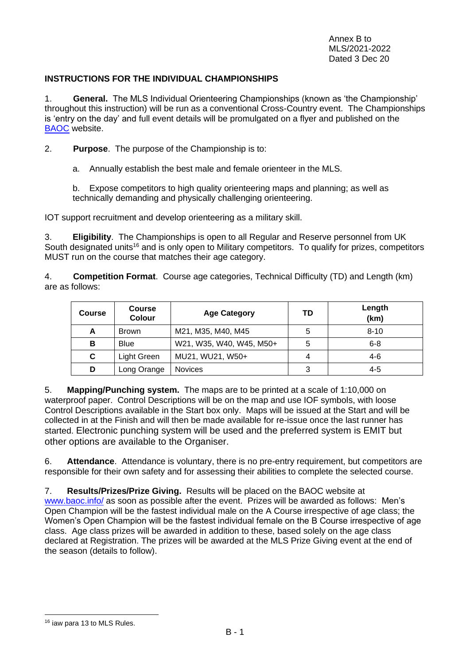### <span id="page-13-0"></span>**INSTRUCTIONS FOR THE INDIVIDUAL CHAMPIONSHIPS**

1. **General.** The MLS Individual Orienteering Championships (known as 'the Championship' throughout this instruction) will be run as a conventional Cross-Country event. The Championships is 'entry on the day' and full event details will be promulgated on a flyer and published on the [BAOC](http://www.baoc.info/) website.

2. **Purpose**. The purpose of the Championship is to:

a. Annually establish the best male and female orienteer in the MLS.

b. Expose competitors to high quality orienteering maps and planning; as well as technically demanding and physically challenging orienteering.

IOT support recruitment and develop orienteering as a military skill.

3. **Eligibility**. The Championships is open to all Regular and Reserve personnel from UK South designated units<sup>16</sup> and is only open to Military competitors. To qualify for prizes, competitors MUST run on the course that matches their age category.

4. **Competition Format**. Course age categories, Technical Difficulty (TD) and Length (km) are as follows:

| <b>Course</b> | <b>Course</b><br><b>Colour</b> | <b>Age Category</b>      | TD | Length<br>(km) |
|---------------|--------------------------------|--------------------------|----|----------------|
| A             | <b>Brown</b>                   | M21, M35, M40, M45       | 5  | $8 - 10$       |
| в             | <b>Blue</b>                    | W21, W35, W40, W45, M50+ | 5  | $6 - 8$        |
| C             | Light Green                    | MU21, WU21, W50+         | 4  | $4-6$          |
| D             | Long Orange                    | <b>Novices</b>           | 3  | $4 - 5$        |

5. **Mapping/Punching system.** The maps are to be printed at a scale of 1:10,000 on waterproof paper. Control Descriptions will be on the map and use IOF symbols, with loose Control Descriptions available in the Start box only. Maps will be issued at the Start and will be collected in at the Finish and will then be made available for re-issue once the last runner has started. Electronic punching system will be used and the preferred system is EMIT but other options are available to the Organiser.

6. **Attendance**. Attendance is voluntary, there is no pre-entry requirement, but competitors are responsible for their own safety and for assessing their abilities to complete the selected course.

7. **Results/Prizes/Prize Giving.** Results will be placed on the BAOC website at [www.baoc.info/](http://www.baoc.info/) as soon as possible after the event. Prizes will be awarded as follows: Men's Open Champion will be the fastest individual male on the A Course irrespective of age class; the Women's Open Champion will be the fastest individual female on the B Course irrespective of age class. Age class prizes will be awarded in addition to these, based solely on the age class declared at Registration. The prizes will be awarded at the MLS Prize Giving event at the end of the season (details to follow).

<sup>16</sup> iaw para 13 to MLS Rules.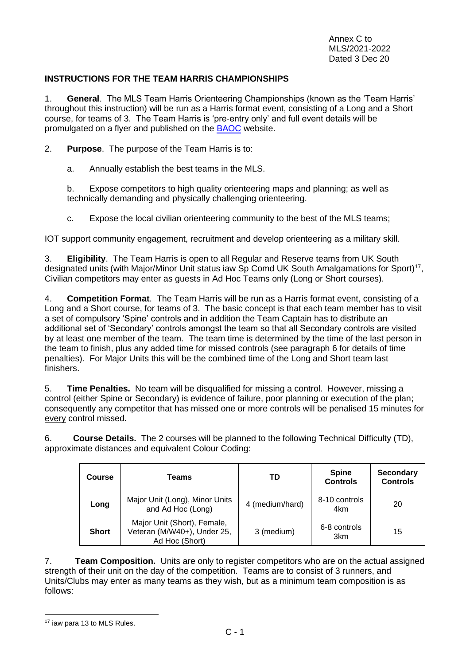### <span id="page-14-0"></span>**INSTRUCTIONS FOR THE TEAM HARRIS CHAMPIONSHIPS**

1. **General**. The MLS Team Harris Orienteering Championships (known as the 'Team Harris' throughout this instruction) will be run as a Harris format event, consisting of a Long and a Short course, for teams of 3. The Team Harris is 'pre-entry only' and full event details will be promulgated on a flyer and published on the [BAOC](http://www.baoc.info/) website.

2. **Purpose**. The purpose of the Team Harris is to:

a. Annually establish the best teams in the MLS.

b. Expose competitors to high quality orienteering maps and planning; as well as technically demanding and physically challenging orienteering.

c. Expose the local civilian orienteering community to the best of the MLS teams;

IOT support community engagement, recruitment and develop orienteering as a military skill.

3. **Eligibility**. The Team Harris is open to all Regular and Reserve teams from UK South designated units (with Major/Minor Unit status iaw Sp Comd UK South Amalgamations for Sport)<sup>17</sup>, Civilian competitors may enter as guests in Ad Hoc Teams only (Long or Short courses).

4. **Competition Format**. The Team Harris will be run as a Harris format event, consisting of a Long and a Short course, for teams of 3. The basic concept is that each team member has to visit a set of compulsory 'Spine' controls and in addition the Team Captain has to distribute an additional set of 'Secondary' controls amongst the team so that all Secondary controls are visited by at least one member of the team. The team time is determined by the time of the last person in the team to finish, plus any added time for missed controls (see paragraph 6 for details of time penalties). For Major Units this will be the combined time of the Long and Short team last finishers.

5. **Time Penalties.** No team will be disqualified for missing a control. However, missing a control (either Spine or Secondary) is evidence of failure, poor planning or execution of the plan; consequently any competitor that has missed one or more controls will be penalised 15 minutes for every control missed.

6. **Course Details.** The 2 courses will be planned to the following Technical Difficulty (TD), approximate distances and equivalent Colour Coding:

| Course       | Teams                                                                        | TD              | <b>Spine</b><br><b>Controls</b> | <b>Secondary</b><br><b>Controls</b> |
|--------------|------------------------------------------------------------------------------|-----------------|---------------------------------|-------------------------------------|
| Long         | Major Unit (Long), Minor Units<br>and Ad Hoc (Long)                          | 4 (medium/hard) | 8-10 controls<br>4km            | 20                                  |
| <b>Short</b> | Major Unit (Short), Female,<br>Veteran (M/W40+), Under 25,<br>Ad Hoc (Short) | 3 (medium)      | 6-8 controls<br>3 <sub>km</sub> | 15                                  |

7. **Team Composition.** Units are only to register competitors who are on the actual assigned strength of their unit on the day of the competition. Teams are to consist of 3 runners, and Units/Clubs may enter as many teams as they wish, but as a minimum team composition is as follows:

<sup>17</sup> iaw para 13 to MLS Rules.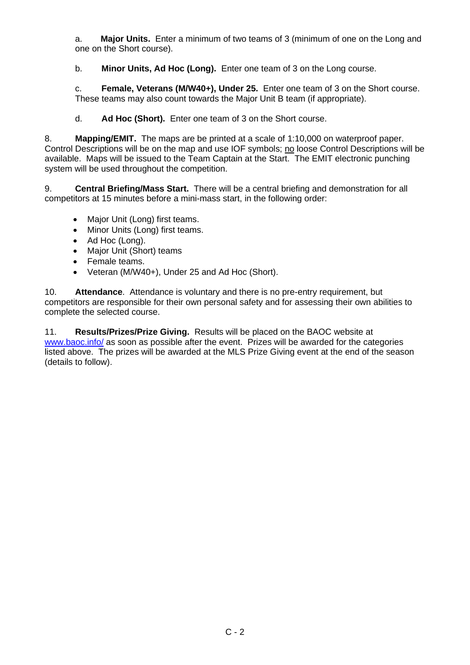a. **Major Units.** Enter a minimum of two teams of 3 (minimum of one on the Long and one on the Short course).

b. **Minor Units, Ad Hoc (Long).** Enter one team of 3 on the Long course.

c. **Female, Veterans (M/W40+), Under 25.** Enter one team of 3 on the Short course. These teams may also count towards the Major Unit B team (if appropriate).

d. **Ad Hoc (Short).** Enter one team of 3 on the Short course.

8. **Mapping/EMIT.** The maps are be printed at a scale of 1:10,000 on waterproof paper. Control Descriptions will be on the map and use IOF symbols; no loose Control Descriptions will be available. Maps will be issued to the Team Captain at the Start. The EMIT electronic punching system will be used throughout the competition.

9. **Central Briefing/Mass Start.** There will be a central briefing and demonstration for all competitors at 15 minutes before a mini-mass start, in the following order:

- Major Unit (Long) first teams.
- Minor Units (Long) first teams.
- Ad Hoc (Long).
- Major Unit (Short) teams
- Female teams.
- Veteran (M/W40+), Under 25 and Ad Hoc (Short).

10. **Attendance**. Attendance is voluntary and there is no pre-entry requirement, but competitors are responsible for their own personal safety and for assessing their own abilities to complete the selected course.

11. **Results/Prizes/Prize Giving.** Results will be placed on the BAOC website at [www.baoc.info/](http://www.baoc.info/) as soon as possible after the event. Prizes will be awarded for the categories listed above. The prizes will be awarded at the MLS Prize Giving event at the end of the season (details to follow).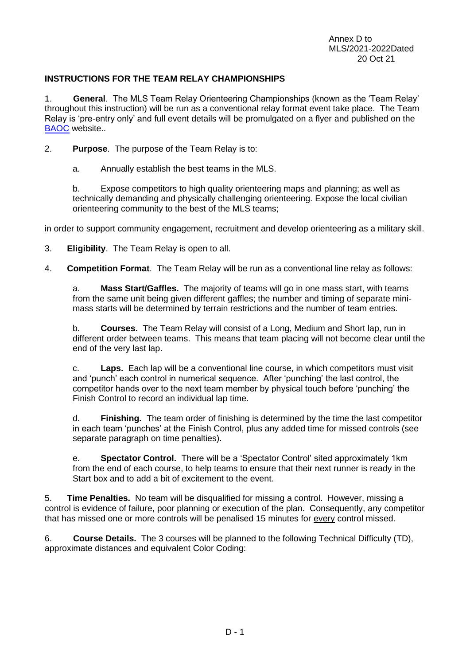### <span id="page-16-0"></span>**INSTRUCTIONS FOR THE TEAM RELAY CHAMPIONSHIPS**

1. **General**. The MLS Team Relay Orienteering Championships (known as the 'Team Relay' throughout this instruction) will be run as a conventional relay format event take place. The Team Relay is 'pre-entry only' and full event details will be promulgated on a flyer and published on the [BAOC](http://www.baoc.info/) website..

- 2. **Purpose**. The purpose of the Team Relay is to:
	- a. Annually establish the best teams in the MLS.

b. Expose competitors to high quality orienteering maps and planning; as well as technically demanding and physically challenging orienteering. Expose the local civilian orienteering community to the best of the MLS teams;

in order to support community engagement, recruitment and develop orienteering as a military skill.

- 3. **Eligibility**. The Team Relay is open to all.
- 4. **Competition Format**. The Team Relay will be run as a conventional line relay as follows:

a. **Mass Start/Gaffles.** The majority of teams will go in one mass start, with teams from the same unit being given different gaffles; the number and timing of separate minimass starts will be determined by terrain restrictions and the number of team entries.

b. **Courses.** The Team Relay will consist of a Long, Medium and Short lap, run in different order between teams. This means that team placing will not become clear until the end of the very last lap.

c. **Laps.** Each lap will be a conventional line course, in which competitors must visit and 'punch' each control in numerical sequence. After 'punching' the last control, the competitor hands over to the next team member by physical touch before 'punching' the Finish Control to record an individual lap time.

d. **Finishing.** The team order of finishing is determined by the time the last competitor in each team 'punches' at the Finish Control, plus any added time for missed controls (see separate paragraph on time penalties).

e. **Spectator Control.** There will be a 'Spectator Control' sited approximately 1km from the end of each course, to help teams to ensure that their next runner is ready in the Start box and to add a bit of excitement to the event.

5. **Time Penalties.** No team will be disqualified for missing a control. However, missing a control is evidence of failure, poor planning or execution of the plan. Consequently, any competitor that has missed one or more controls will be penalised 15 minutes for every control missed.

6. **Course Details.** The 3 courses will be planned to the following Technical Difficulty (TD), approximate distances and equivalent Color Coding: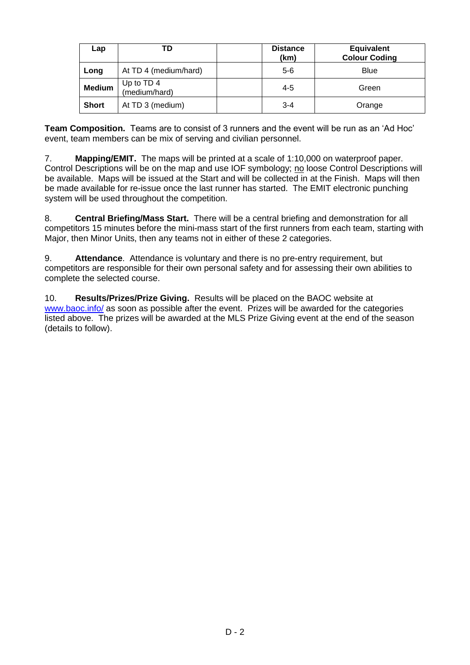| Lap           | TD                          | <b>Distance</b><br>(km) | <b>Equivalent</b><br><b>Colour Coding</b> |
|---------------|-----------------------------|-------------------------|-------------------------------------------|
| Long          | At TD 4 (medium/hard)       | $5-6$                   | Blue                                      |
| <b>Medium</b> | Up to TD 4<br>(medium/hard) | $4 - 5$                 | Green                                     |
| <b>Short</b>  | At TD 3 (medium)            | $3 - 4$                 | Orange                                    |

**Team Composition.** Teams are to consist of 3 runners and the event will be run as an 'Ad Hoc' event, team members can be mix of serving and civilian personnel.

7. **Mapping/EMIT.** The maps will be printed at a scale of 1:10,000 on waterproof paper. Control Descriptions will be on the map and use IOF symbology; no loose Control Descriptions will be available. Maps will be issued at the Start and will be collected in at the Finish. Maps will then be made available for re-issue once the last runner has started. The EMIT electronic punching system will be used throughout the competition.

8. **Central Briefing/Mass Start.** There will be a central briefing and demonstration for all competitors 15 minutes before the mini-mass start of the first runners from each team, starting with Major, then Minor Units, then any teams not in either of these 2 categories.

9. **Attendance**. Attendance is voluntary and there is no pre-entry requirement, but competitors are responsible for their own personal safety and for assessing their own abilities to complete the selected course.

10. **Results/Prizes/Prize Giving.** Results will be placed on the BAOC website at [www.baoc.info/](http://www.baoc.info/) as soon as possible after the event. Prizes will be awarded for the categories listed above. The prizes will be awarded at the MLS Prize Giving event at the end of the season (details to follow).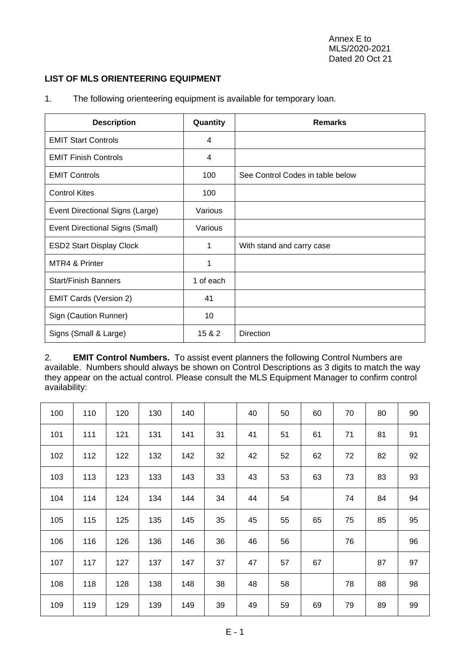### <span id="page-18-0"></span>**LIST OF MLS ORIENTEERING EQUIPMENT**

| <b>Description</b>              | Quantity  | <b>Remarks</b>                   |
|---------------------------------|-----------|----------------------------------|
| <b>EMIT Start Controls</b>      | 4         |                                  |
| <b>EMIT Finish Controls</b>     | 4         |                                  |
| <b>EMIT Controls</b>            | 100       | See Control Codes in table below |
| <b>Control Kites</b>            | 100       |                                  |
| Event Directional Signs (Large) | Various   |                                  |
| Event Directional Signs (Small) | Various   |                                  |
| <b>ESD2 Start Display Clock</b> | 1         | With stand and carry case        |
| MTR4 & Printer                  | 1         |                                  |
| <b>Start/Finish Banners</b>     | 1 of each |                                  |
| <b>EMIT Cards (Version 2)</b>   | 41        |                                  |
| Sign (Caution Runner)           | 10        |                                  |
| Signs (Small & Large)           | 15 & 2    | <b>Direction</b>                 |

1. The following orienteering equipment is available for temporary loan.

2. **EMIT Control Numbers.** To assist event planners the following Control Numbers are available. Numbers should always be shown on Control Descriptions as 3 digits to match the way they appear on the actual control. Please consult the MLS Equipment Manager to confirm control availability:

| 100 | 110 | 120 | 130 | 140 |    | 40 | 50 | 60 | 70 | 80 | 90 |
|-----|-----|-----|-----|-----|----|----|----|----|----|----|----|
| 101 | 111 | 121 | 131 | 141 | 31 | 41 | 51 | 61 | 71 | 81 | 91 |
| 102 | 112 | 122 | 132 | 142 | 32 | 42 | 52 | 62 | 72 | 82 | 92 |
| 103 | 113 | 123 | 133 | 143 | 33 | 43 | 53 | 63 | 73 | 83 | 93 |
| 104 | 114 | 124 | 134 | 144 | 34 | 44 | 54 |    | 74 | 84 | 94 |
| 105 | 115 | 125 | 135 | 145 | 35 | 45 | 55 | 65 | 75 | 85 | 95 |
| 106 | 116 | 126 | 136 | 146 | 36 | 46 | 56 |    | 76 |    | 96 |
| 107 | 117 | 127 | 137 | 147 | 37 | 47 | 57 | 67 |    | 87 | 97 |
| 108 | 118 | 128 | 138 | 148 | 38 | 48 | 58 |    | 78 | 88 | 98 |
| 109 | 119 | 129 | 139 | 149 | 39 | 49 | 59 | 69 | 79 | 89 | 99 |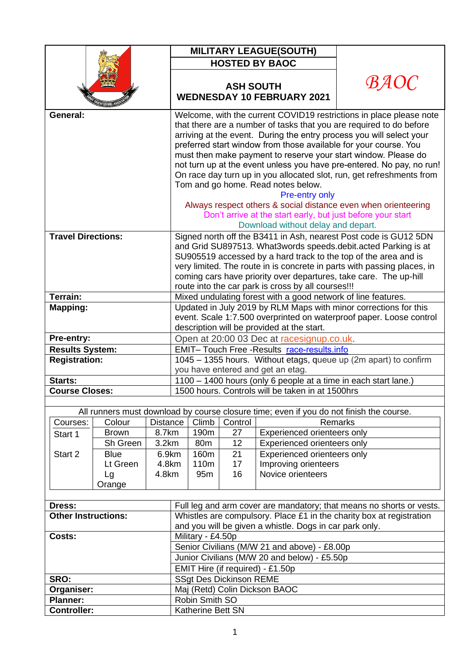|                            |                         |                |                                                                                                                                         |                                   |                                | <b>MILITARY LEAGUE(SOUTH)</b>                                                           |                                                                         |  |  |
|----------------------------|-------------------------|----------------|-----------------------------------------------------------------------------------------------------------------------------------------|-----------------------------------|--------------------------------|-----------------------------------------------------------------------------------------|-------------------------------------------------------------------------|--|--|
|                            |                         |                |                                                                                                                                         |                                   |                                |                                                                                         |                                                                         |  |  |
|                            |                         |                |                                                                                                                                         |                                   |                                | <b>HOSTED BY BAOC</b>                                                                   |                                                                         |  |  |
|                            |                         |                |                                                                                                                                         | <b>WEDNESDAY 10 FEBRUARY 2021</b> | <i>BAOC</i>                    |                                                                                         |                                                                         |  |  |
|                            |                         |                |                                                                                                                                         |                                   |                                |                                                                                         |                                                                         |  |  |
| General:                   |                         |                |                                                                                                                                         |                                   |                                |                                                                                         | Welcome, with the current COVID19 restrictions in place please note     |  |  |
|                            |                         |                |                                                                                                                                         |                                   |                                |                                                                                         | that there are a number of tasks that you are required to do before     |  |  |
|                            |                         |                |                                                                                                                                         |                                   |                                |                                                                                         | arriving at the event. During the entry process you will select your    |  |  |
|                            |                         |                | preferred start window from those available for your course. You                                                                        |                                   |                                |                                                                                         |                                                                         |  |  |
|                            |                         |                | must then make payment to reserve your start window. Please do<br>not turn up at the event unless you have pre-entered. No pay, no run! |                                   |                                |                                                                                         |                                                                         |  |  |
|                            |                         |                |                                                                                                                                         |                                   |                                |                                                                                         | On race day turn up in you allocated slot, run, get refreshments from   |  |  |
|                            |                         |                |                                                                                                                                         |                                   |                                | Tom and go home. Read notes below.                                                      |                                                                         |  |  |
|                            |                         |                |                                                                                                                                         |                                   |                                | Pre-entry only                                                                          |                                                                         |  |  |
|                            |                         |                |                                                                                                                                         |                                   |                                |                                                                                         | Always respect others & social distance even when orienteering          |  |  |
|                            |                         |                |                                                                                                                                         |                                   |                                | Don't arrive at the start early, but just before your start                             |                                                                         |  |  |
|                            |                         |                |                                                                                                                                         |                                   |                                | Download without delay and depart.                                                      |                                                                         |  |  |
| <b>Travel Directions:</b>  |                         |                |                                                                                                                                         |                                   |                                |                                                                                         | Signed north off the B3411 in Ash, nearest Post code is GU12 5DN        |  |  |
|                            |                         |                |                                                                                                                                         |                                   |                                |                                                                                         | and Grid SU897513. What3words speeds.debit.acted Parking is at          |  |  |
|                            |                         |                |                                                                                                                                         |                                   |                                |                                                                                         | SU905519 accessed by a hard track to the top of the area and is         |  |  |
|                            |                         |                |                                                                                                                                         |                                   |                                |                                                                                         | very limited. The route in is concrete in parts with passing places, in |  |  |
|                            |                         |                |                                                                                                                                         |                                   |                                |                                                                                         | coming cars have priority over departures, take care. The up-hill       |  |  |
| <b>Terrain:</b>            |                         |                | route into the car park is cross by all courses!!!                                                                                      |                                   |                                |                                                                                         |                                                                         |  |  |
|                            |                         |                | Mixed undulating forest with a good network of line features.<br>Updated in July 2019 by RLM Maps with minor corrections for this       |                                   |                                |                                                                                         |                                                                         |  |  |
| <b>Mapping:</b>            |                         |                | event. Scale 1:7.500 overprinted on waterproof paper. Loose control                                                                     |                                   |                                |                                                                                         |                                                                         |  |  |
|                            |                         |                | description will be provided at the start.                                                                                              |                                   |                                |                                                                                         |                                                                         |  |  |
| Pre-entry:                 |                         |                | Open at 20:00 03 Dec at racesignup.co.uk.                                                                                               |                                   |                                |                                                                                         |                                                                         |  |  |
| <b>Results System:</b>     |                         |                | EMIT- Touch Free - Results race-results.info                                                                                            |                                   |                                |                                                                                         |                                                                         |  |  |
| <b>Registration:</b>       |                         |                | 1045 - 1355 hours. Without etags, queue up (2m apart) to confirm                                                                        |                                   |                                |                                                                                         |                                                                         |  |  |
|                            |                         |                | you have entered and get an etag.                                                                                                       |                                   |                                |                                                                                         |                                                                         |  |  |
| Starts:                    |                         |                | 1100 - 1400 hours (only 6 people at a time in each start lane.)                                                                         |                                   |                                |                                                                                         |                                                                         |  |  |
| <b>Course Closes:</b>      |                         |                | 1500 hours. Controls will be taken in at 1500hrs                                                                                        |                                   |                                |                                                                                         |                                                                         |  |  |
|                            |                         |                |                                                                                                                                         |                                   |                                |                                                                                         |                                                                         |  |  |
|                            |                         |                |                                                                                                                                         |                                   |                                | All runners must download by course closure time; even if you do not finish the course. |                                                                         |  |  |
| Courses:                   | Colour                  | Distance       |                                                                                                                                         | Climb                             | Control                        |                                                                                         | <b>Remarks</b>                                                          |  |  |
| Start 1                    | <b>Brown</b>            | 8.7km          |                                                                                                                                         | 190m                              | 27                             | Experienced orienteers only                                                             |                                                                         |  |  |
|                            | Sh Green                | 3.2km          |                                                                                                                                         | 80 <sub>m</sub>                   | 12                             | Experienced orienteers only                                                             |                                                                         |  |  |
| Start 2                    | <b>Blue</b><br>Lt Green | 6.9km<br>4.8km |                                                                                                                                         | 160m<br>110m                      | 21<br>17                       | Experienced orienteers only<br>Improving orienteers                                     |                                                                         |  |  |
|                            | 4.8km<br>Lg             |                |                                                                                                                                         | 95 <sub>m</sub>                   | 16                             | Novice orienteers                                                                       |                                                                         |  |  |
|                            | Orange                  |                |                                                                                                                                         |                                   |                                |                                                                                         |                                                                         |  |  |
|                            |                         |                |                                                                                                                                         |                                   |                                |                                                                                         |                                                                         |  |  |
| Dress:                     |                         |                |                                                                                                                                         |                                   |                                |                                                                                         | Full leg and arm cover are mandatory; that means no shorts or vests.    |  |  |
| <b>Other Instructions:</b> |                         |                |                                                                                                                                         |                                   |                                |                                                                                         | Whistles are compulsory. Place £1 in the charity box at registration    |  |  |
|                            |                         |                | and you will be given a whistle. Dogs in car park only.                                                                                 |                                   |                                |                                                                                         |                                                                         |  |  |
| Costs:                     |                         |                |                                                                                                                                         | Military - £4.50p                 |                                |                                                                                         |                                                                         |  |  |
|                            |                         |                |                                                                                                                                         |                                   |                                | Senior Civilians (M/W 21 and above) - £8.00p                                            |                                                                         |  |  |
|                            |                         |                |                                                                                                                                         |                                   |                                | Junior Civilians (M/W 20 and below) - £5.50p                                            |                                                                         |  |  |
|                            |                         |                |                                                                                                                                         |                                   |                                | EMIT Hire (if required) - £1.50p                                                        |                                                                         |  |  |
| SRO:                       |                         |                |                                                                                                                                         |                                   | <b>SSgt Des Dickinson REME</b> |                                                                                         |                                                                         |  |  |
| Organiser:                 |                         |                |                                                                                                                                         |                                   |                                | Maj (Retd) Colin Dickson BAOC                                                           |                                                                         |  |  |
| <b>Planner:</b>            |                         |                |                                                                                                                                         | Robin Smith SO                    |                                |                                                                                         |                                                                         |  |  |
| <b>Controller:</b>         |                         |                | Katherine Bett SN                                                                                                                       |                                   |                                |                                                                                         |                                                                         |  |  |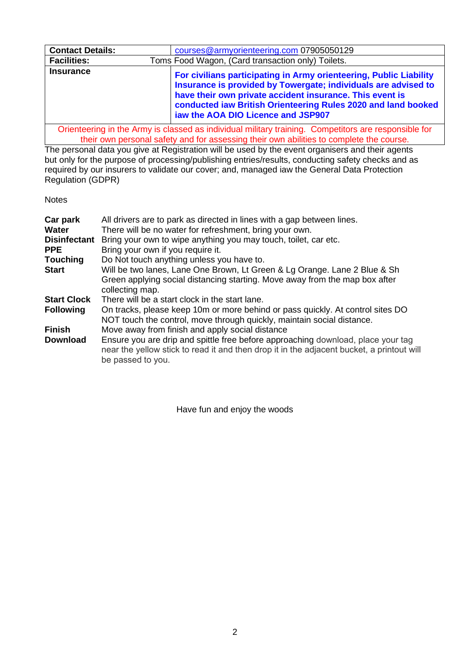| <b>Contact Details:</b> | courses@armyorienteering.com 07905050129                                                                                                                                                                                                                                                                |  |  |  |  |  |
|-------------------------|---------------------------------------------------------------------------------------------------------------------------------------------------------------------------------------------------------------------------------------------------------------------------------------------------------|--|--|--|--|--|
| <b>Facilities:</b>      | Toms Food Wagon, (Card transaction only) Toilets.                                                                                                                                                                                                                                                       |  |  |  |  |  |
| <b>Insurance</b>        | For civilians participating in Army orienteering, Public Liability<br>Insurance is provided by Towergate; individuals are advised to<br>have their own private accident insurance. This event is<br>conducted iaw British Orienteering Rules 2020 and land booked<br>iaw the AOA DIO Licence and JSP907 |  |  |  |  |  |

Orienteering in the Army is classed as individual military training. Competitors are responsible for their own personal safety and for assessing their own abilities to complete the course.

The personal data you give at Registration will be used by the event organisers and their agents but only for the purpose of processing/publishing entries/results, conducting safety checks and as required by our insurers to validate our cover; and, managed iaw the General Data Protection Regulation (GDPR)

**Notes** 

| Car park<br>Water<br><b>Disinfectant</b><br><b>PPE</b> | All drivers are to park as directed in lines with a gap between lines.<br>There will be no water for refreshment, bring your own.<br>Bring your own to wipe anything you may touch, toilet, car etc.<br>Bring your own if you require it. |
|--------------------------------------------------------|-------------------------------------------------------------------------------------------------------------------------------------------------------------------------------------------------------------------------------------------|
| <b>Touching</b>                                        | Do Not touch anything unless you have to.                                                                                                                                                                                                 |
| <b>Start</b>                                           | Will be two lanes, Lane One Brown, Lt Green & Lg Orange. Lane 2 Blue & Sh<br>Green applying social distancing starting. Move away from the map box after<br>collecting map.                                                               |
| <b>Start Clock</b>                                     | There will be a start clock in the start lane.                                                                                                                                                                                            |
| <b>Following</b>                                       | On tracks, please keep 10m or more behind or pass quickly. At control sites DO<br>NOT touch the control, move through quickly, maintain social distance.                                                                                  |
| <b>Finish</b>                                          | Move away from finish and apply social distance                                                                                                                                                                                           |
| <b>Download</b>                                        | Ensure you are drip and spittle free before approaching download, place your tag<br>near the yellow stick to read it and then drop it in the adjacent bucket, a printout will<br>be passed to you.                                        |

Have fun and enjoy the woods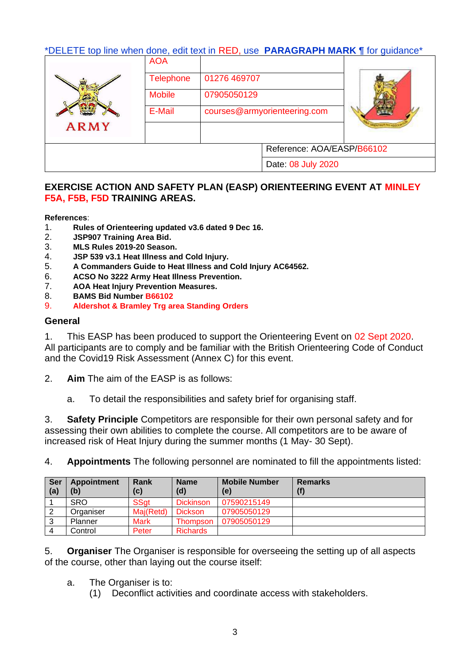# \*DELETE top line when done, edit text in RED, use **PARAGRAPH MARK ¶** for guidance\*

|             | <b>AOA</b>       |              |                              |  |
|-------------|------------------|--------------|------------------------------|--|
|             | <b>Telephone</b> | 01276 469707 |                              |  |
|             | <b>Mobile</b>    |              |                              |  |
| <b>ARMY</b> | E-Mail           |              | courses@armyorienteering.com |  |
|             |                  |              |                              |  |
|             |                  |              | Reference: AOA/EASP/B66102   |  |
|             |                  |              | Date: 08 July 2020           |  |

## **EXERCISE ACTION AND SAFETY PLAN (EASP) ORIENTEERING EVENT AT MINLEY F5A, F5B, F5D TRAINING AREAS.**

### **References**:

- 1. **Rules of Orienteering updated v3.6 dated 9 Dec 16.**
- 2. **JSP907 Training Area Bid.**
- 3. **MLS Rules 2019-20 Season.**
- 4. **JSP 539 v3.1 Heat Illness and Cold Injury.**
- 5. **A Commanders Guide to Heat Illness and Cold Injury AC64562.**
- 6. **ACSO No 3222 Army Heat Illness Prevention.**
- 7. **AOA Heat Injury Prevention Measures.**
- 8. **BAMS Bid Number B66102**
- 9. **Aldershot & Bramley Trg area Standing Orders**

## **General**

1. This EASP has been produced to support the Orienteering Event on 02 Sept 2020. All participants are to comply and be familiar with the British Orienteering Code of Conduct and the Covid19 Risk Assessment (Annex C) for this event.

- 2. **Aim** The aim of the EASP is as follows:
	- a. To detail the responsibilities and safety brief for organising staff.

3. **Safety Principle** Competitors are responsible for their own personal safety and for assessing their own abilities to complete the course. All competitors are to be aware of increased risk of Heat Injury during the summer months (1 May- 30 Sept).

4. **Appointments** The following personnel are nominated to fill the appointments listed:

| <b>Ser</b><br>(a) | Appointment<br>(b) | Rank<br>(c) | <b>Name</b><br>(d) | <b>Mobile Number</b><br>(e) | <b>Remarks</b><br>(f) |
|-------------------|--------------------|-------------|--------------------|-----------------------------|-----------------------|
|                   | <b>SRO</b>         | <b>SSat</b> | <b>Dickinson</b>   | 07590215149                 |                       |
|                   | Organiser          | Maj(Retd)   | <b>Dickson</b>     | 07905050129                 |                       |
| 3                 | Planner            | <b>Mark</b> | Thompson           | 07905050129                 |                       |
|                   | Control            | Peter       | <b>Richards</b>    |                             |                       |

5. **Organiser** The Organiser is responsible for overseeing the setting up of all aspects of the course, other than laying out the course itself:

- a. The Organiser is to:
	- (1) Deconflict activities and coordinate access with stakeholders.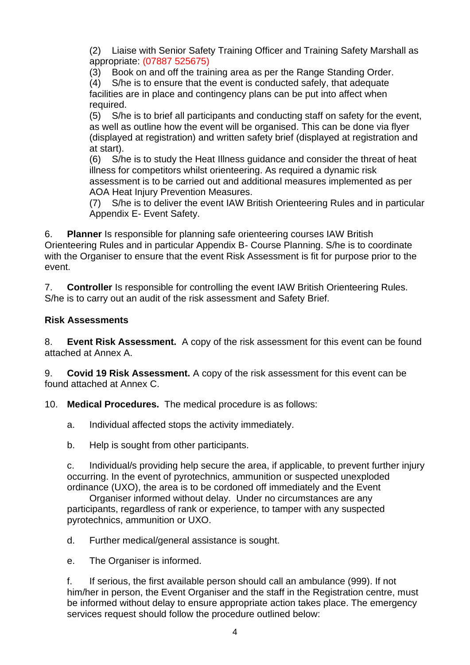(2) Liaise with Senior Safety Training Officer and Training Safety Marshall as appropriate: (07887 525675)

(3) Book on and off the training area as per the Range Standing Order.

(4) S/he is to ensure that the event is conducted safely, that adequate facilities are in place and contingency plans can be put into affect when required.

(5) S/he is to brief all participants and conducting staff on safety for the event, as well as outline how the event will be organised. This can be done via flyer (displayed at registration) and written safety brief (displayed at registration and at start).

(6) S/he is to study the Heat Illness guidance and consider the threat of heat illness for competitors whilst orienteering. As required a dynamic risk assessment is to be carried out and additional measures implemented as per AOA Heat Injury Prevention Measures.

(7) S/he is to deliver the event IAW British Orienteering Rules and in particular Appendix E- Event Safety.

6. **Planner** Is responsible for planning safe orienteering courses IAW British Orienteering Rules and in particular Appendix B- Course Planning. S/he is to coordinate with the Organiser to ensure that the event Risk Assessment is fit for purpose prior to the event.

7. **Controller** Is responsible for controlling the event IAW British Orienteering Rules. S/he is to carry out an audit of the risk assessment and Safety Brief.

# **Risk Assessments**

8. **Event Risk Assessment.** A copy of the risk assessment for this event can be found attached at Annex A.

9. **Covid 19 Risk Assessment.** A copy of the risk assessment for this event can be found attached at Annex C.

10. **Medical Procedures.** The medical procedure is as follows:

- a. Individual affected stops the activity immediately.
- b. Help is sought from other participants.

c. Individual/s providing help secure the area, if applicable, to prevent further injury occurring. In the event of pyrotechnics, ammunition or suspected unexploded ordinance (UXO), the area is to be cordoned off immediately and the Event

Organiser informed without delay. Under no circumstances are any participants, regardless of rank or experience, to tamper with any suspected pyrotechnics, ammunition or UXO.

d. Further medical/general assistance is sought.

e. The Organiser is informed.

f. If serious, the first available person should call an ambulance (999). If not him/her in person, the Event Organiser and the staff in the Registration centre, must be informed without delay to ensure appropriate action takes place. The emergency services request should follow the procedure outlined below: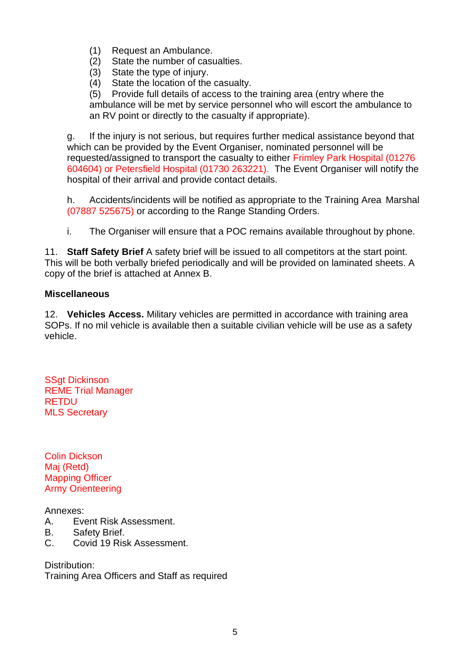- (1) Request an Ambulance.
- (2) State the number of casualties.
- (3) State the type of injury.
- (4) State the location of the casualty.

(5) Provide full details of access to the training area (entry where the ambulance will be met by service personnel who will escort the ambulance to an RV point or directly to the casualty if appropriate).

g. If the injury is not serious, but requires further medical assistance beyond that which can be provided by the Event Organiser, nominated personnel will be requested/assigned to transport the casualty to either Frimley Park Hospital (01276 604604) or Petersfield Hospital (01730 263221). The Event Organiser will notify the hospital of their arrival and provide contact details.

h. Accidents/incidents will be notified as appropriate to the Training Area Marshal (07887 525675) or according to the Range Standing Orders.

i. The Organiser will ensure that a POC remains available throughout by phone.

11. **Staff Safety Brief** A safety brief will be issued to all competitors at the start point. This will be both verbally briefed periodically and will be provided on laminated sheets. A copy of the brief is attached at Annex B.

## **Miscellaneous**

12. **Vehicles Access.** Military vehicles are permitted in accordance with training area SOPs. If no mil vehicle is available then a suitable civilian vehicle will be use as a safety vehicle.

**SSgt Dickinson** REME Trial Manager **RETDU** MLS Secretary

Colin Dickson Maj (Retd) Mapping Officer Army Orienteering

Annexes:

- A. Event Risk Assessment.
- B. Safety Brief.
- C. Covid 19 Risk Assessment.

Distribution: Training Area Officers and Staff as required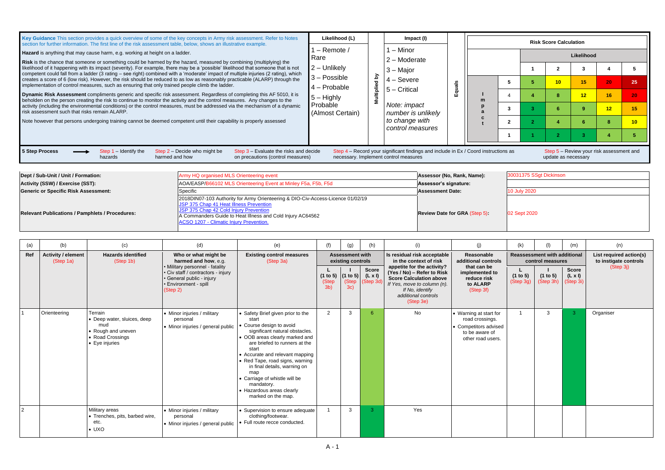**BED-UNIT 30031375 SSgt Dickinson 8 O2 Sept 2020** 

| Key Guidance This section provides a quick overview of some of the key concepts in Army risk assessment. Refer to Notes<br>section for further information. The first line of the risk assessment table, below, shows an illustrative example.                                                                                                                                                                                                                                                             | Likelihood (L)<br>Impact (I)                          |                                                                                     |  | <b>Risk Score Calculation</b> |  |                                                                 |            |    |          |
|------------------------------------------------------------------------------------------------------------------------------------------------------------------------------------------------------------------------------------------------------------------------------------------------------------------------------------------------------------------------------------------------------------------------------------------------------------------------------------------------------------|-------------------------------------------------------|-------------------------------------------------------------------------------------|--|-------------------------------|--|-----------------------------------------------------------------|------------|----|----------|
| Hazard is anything that may cause harm, e.g. working at height on a ladder.<br><b>Risk</b> is the chance that someone or something could be harmed by the hazard, measured by combining (multiplying) the                                                                                                                                                                                                                                                                                                  | $-$ Remote $/$<br>Rare<br>$2$ – Unlikely              | 1 – Minor<br>2 – Moderate                                                           |  |                               |  |                                                                 | Likelihood |    |          |
| likelihood of it happening with its impact (severity). For example, there may be a 'possible' likelihood that someone that is not<br>competent could fall from a ladder (3 rating - see right) combined with a 'moderate' impact of multiple injuries (2 rating), which<br>creates a score of 6 (low risk). However, the risk should be reduced to as low as reasonably practicable (ALARP) through the<br>implementation of control measures, such as ensuring that only trained people climb the ladder. | λá<br>$3 - Possible$<br>$4 -$ Probable                | $3 -$ Major<br>$4 -$ Severe                                                         |  |                               |  | 10                                                              | 15         | 20 | 25       |
| <b>Dynamic Risk Assessment</b> compliments generic and specific risk assessment. Regardless of completing this AF 5010, it is<br>beholden on the person creating the risk to continue to monitor the activity and the control measures. Any changes to the<br>activity (including the environmental conditions) or the control measures, must be addressed via the mechanism of a dynamic                                                                                                                  | jiaji<br>$5 -$ Highly<br>Probable<br>(Almost Certain) | $5 -$ Critical<br>ШĪ<br>Note: impact                                                |  |                               |  |                                                                 | 12         | 16 | 20       |
| risk assessment such that risks remain ALARP.<br>Note however that persons undergoing training cannot be deemed competent until their capability is properly assessed                                                                                                                                                                                                                                                                                                                                      |                                                       | number is unlikely<br>to change with                                                |  |                               |  |                                                                 |            | 12 | 15<br>10 |
|                                                                                                                                                                                                                                                                                                                                                                                                                                                                                                            |                                                       | control measures                                                                    |  |                               |  |                                                                 |            |    |          |
| 5 Step Process<br>Step $1$ – Identify the<br>Step 2 – Decide who might be<br>Step 3 – Evaluate the risks and decide<br>on precautions (control measures)<br>harmed and how<br>hazards                                                                                                                                                                                                                                                                                                                      | necessary. Implement control measures                 | Step 4 - Record your significant findings and include in Ex / Coord instructions as |  |                               |  | Step 5 – Review your risk assessment and<br>update as necessary |            |    |          |

| Dept / Sub-Unit / Unit / Formation:                    | Army HQ organised MLS Orienteering event                                                                                                                                                                                                                                      | Assessor (No, Rank, Name):          | 30031375 S   |
|--------------------------------------------------------|-------------------------------------------------------------------------------------------------------------------------------------------------------------------------------------------------------------------------------------------------------------------------------|-------------------------------------|--------------|
| Activity (SSW) / Exercise (SST):                       | AOA/EASP/B66102 MLS Orienteering Event at Minley F5a, F5b, F5d                                                                                                                                                                                                                | Assessor's signature:               |              |
| <b>Generic or Specific Risk Assessment:</b>            | Specific                                                                                                                                                                                                                                                                      | <b>Assessment Date:</b>             | 10 July 2020 |
| <b>Relevant Publications / Pamphlets / Procedures:</b> | 2018DIN07-103 Authority for Army Orienteering & DIO-Civ-Access-Licence 01/02/19<br>JSP 375 Chap 41 Heat Illness Prevention<br>JSP 375 Chap 42 Cold Injury Prevention<br>A Commanders Guide to Heat Illness and Cold Injury AC64562<br>ACSO 1207 - Climatic Injury Prevention. | <b>Review Date for GRA (Step 5)</b> | 02 Sept 202  |

| (a)            | (b)                                    | (c)                                                                                                                       | (d)                                                                                                  | (e)                                                                                                                                                                                                                                                                                                                                                                                               | (f)                                              | (g)          | (h)                                                                                 | (i)                                                                                                                                                | (j)                                                                                                       | (k)                                                     | (1)                   | (m)                                                           | (n)       |
|----------------|----------------------------------------|---------------------------------------------------------------------------------------------------------------------------|------------------------------------------------------------------------------------------------------|---------------------------------------------------------------------------------------------------------------------------------------------------------------------------------------------------------------------------------------------------------------------------------------------------------------------------------------------------------------------------------------------------|--------------------------------------------------|--------------|-------------------------------------------------------------------------------------|----------------------------------------------------------------------------------------------------------------------------------------------------|-----------------------------------------------------------------------------------------------------------|---------------------------------------------------------|-----------------------|---------------------------------------------------------------|-----------|
| Ref            | <b>Activity / element</b><br>(Step 1a) | <b>Hazards identified</b><br>Who or what might be<br>harmed and how, e.g.<br>(Step 1b)<br>• Military personnel - fatality |                                                                                                      | <b>Existing control measures</b><br><b>Assessment with</b><br>existing controls<br>(Step 3a)                                                                                                                                                                                                                                                                                                      |                                                  |              | Is residual risk acceptable<br>in the context of risk<br>appetite for the activity? | Reasonable<br>additional controls<br>that can be                                                                                                   |                                                                                                           | <b>Reassessment with additional</b><br>control measures |                       | List required action(s)<br>to instigate controls<br>(Step 3j) |           |
|                |                                        |                                                                                                                           | · Civ staff / contractors - injury<br>· General public - injury<br>· Environment - spill<br>(Step 2) |                                                                                                                                                                                                                                                                                                                                                                                                   | (1 to 5)   (1 to 5)  <br>(Step<br>3 <sub>b</sub> | (Step<br>3c) | <b>Score</b><br>$(L \times I)$<br>Step 3d)                                          | (Yes / No) - Refer to Risk<br><b>Score Calculation above</b><br>If Yes, move to column (n).<br>If No, identify<br>additional controls<br>(Step 3e) | implemented to<br>reduce risk<br>to ALARP<br>(Step 3f)                                                    | (1 to 5)<br>(Step 3g)                                   | (1 to 5)<br>(Step 3h) | <b>Score</b><br>$(L \times I)$<br>(Step 3i)                   |           |
|                | Orienteering                           | Terrain<br>• Deep water, sluices, deep<br>mud<br>• Rough and uneven<br>• Road Crossings<br>• Eye injuries                 | • Minor injuries / military<br>personal<br>• Minor injuries / general public                         | • Safety Brief given prior to the<br>start<br>Course design to avoid<br>significant natural obstacles.<br>• OOB areas clearly marked and<br>are briefed to runners at the<br>start<br>• Accurate and relevant mapping<br>• Red Tape, road signs, warning<br>in final details, warning on<br>map<br>• Carriage of whistle will be<br>mandatory.<br>• Hazardous areas clearly<br>marked on the map. | $\overline{2}$                                   | 3            | -6                                                                                  | <b>No</b>                                                                                                                                          | • Warning at start for<br>road crossings.<br>• Competitors advised<br>to be aware of<br>other road users. |                                                         | 3                     |                                                               | Organiser |
| $\overline{2}$ |                                        | Military areas<br>• Trenches, pits, barbed wire,<br>etc.<br>$\bullet$ UXO                                                 | • Minor injuries / military<br>personal<br>• Minor injuries / general public                         | • Supervision to ensure adequate<br>clothing/footwear.<br>Full route recce conducted.                                                                                                                                                                                                                                                                                                             |                                                  | $\mathbf{3}$ | -3.                                                                                 | Yes                                                                                                                                                |                                                                                                           |                                                         |                       |                                                               |           |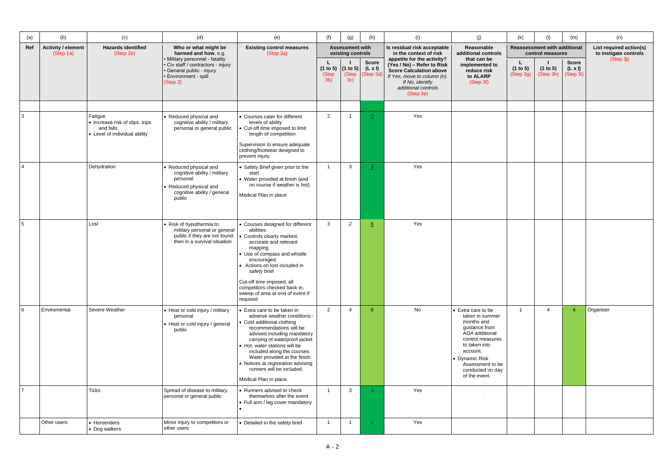| (a)             | (b)                                    | (c)                                                                                      | (d)                                                                                                                                   | (e)                                                                                                                                                                                                                                                                                                                                                                                 | (f)                                 | (g)                                         | (h)                                        | (i)                                                                                                                                                | (j)                                                                                                                                                                                                                | (k)                   | (1)                                                     | (m)                                         | (n)                                                           |
|-----------------|----------------------------------------|------------------------------------------------------------------------------------------|---------------------------------------------------------------------------------------------------------------------------------------|-------------------------------------------------------------------------------------------------------------------------------------------------------------------------------------------------------------------------------------------------------------------------------------------------------------------------------------------------------------------------------------|-------------------------------------|---------------------------------------------|--------------------------------------------|----------------------------------------------------------------------------------------------------------------------------------------------------|--------------------------------------------------------------------------------------------------------------------------------------------------------------------------------------------------------------------|-----------------------|---------------------------------------------------------|---------------------------------------------|---------------------------------------------------------------|
| Ref             | <b>Activity / element</b><br>(Step 1a) | <b>Hazards identified</b><br>(Step 1b)                                                   | Who or what might be<br>harmed and how, e.g.<br>• Military personnel - fatality                                                       | <b>Existing control measures</b><br>(Step 3a)                                                                                                                                                                                                                                                                                                                                       |                                     | <b>Assessment with</b><br>existing controls |                                            | Is residual risk acceptable<br>in the context of risk<br>appetite for the activity?                                                                | Reasonable<br>additional controls<br>that can be                                                                                                                                                                   |                       | <b>Reassessment with additional</b><br>control measures |                                             | List required action(s)<br>to instigate controls<br>(Step 3j) |
|                 |                                        |                                                                                          | · Civ staff / contractors - injury<br>· General public - injury<br>• Environment - spill<br>(Step 2)                                  |                                                                                                                                                                                                                                                                                                                                                                                     | (1 to 5)<br>(Step<br>3 <sub>b</sub> | (1 to 5)<br>(Step<br>3c)                    | <b>Score</b><br>$(L \times I)$<br>Step 3d) | (Yes / No) - Refer to Risk<br><b>Score Calculation above</b><br>If Yes, move to column (n).<br>If No, identify<br>additional controls<br>(Step 3e) | implemented to<br>reduce risk<br>to ALARP<br>(Step 3f)                                                                                                                                                             | (1 to 5)<br>(Step 3g) | (1 to 5)<br>(Step 3h)                                   | <b>Score</b><br>$(L \times I)$<br>(Step 3i) |                                                               |
|                 |                                        |                                                                                          |                                                                                                                                       |                                                                                                                                                                                                                                                                                                                                                                                     |                                     |                                             |                                            |                                                                                                                                                    |                                                                                                                                                                                                                    |                       |                                                         |                                             |                                                               |
| 3               |                                        | Fatigue<br>• Increase risk of slips, trips<br>and falls<br>• Level of individual ability | • Reduced physical and<br>cognitive ability / military<br>personal or general public                                                  | • Courses cater for different<br>levels of ability<br>Cut-off time imposed to limit<br>length of competition<br>Supervision to ensure adequate<br>clothing/footwear designed to<br>prevent injury.                                                                                                                                                                                  | $\overline{2}$                      |                                             | $\mathbf{2}$                               | Yes                                                                                                                                                |                                                                                                                                                                                                                    |                       |                                                         |                                             |                                                               |
| $\overline{4}$  |                                        | Dehydration                                                                              | • Reduced physical and<br>cognitive ability / military<br>personal<br>• Reduced physical and<br>cognitive ability / general<br>public | • Safety Brief given prior to the<br>start<br>• Water provided at finish (and<br>on course if weather is hot)<br>Medical Plan in place                                                                                                                                                                                                                                              |                                     | 3                                           | $\overline{3}$                             | Yes                                                                                                                                                |                                                                                                                                                                                                                    |                       |                                                         |                                             |                                                               |
|                 |                                        | Lost                                                                                     | • Risk of hypothermia to<br>military personal or general<br>public if they are not found,<br>then in a survival situation             | • Courses designed for different<br>abilities<br>Controls clearly marked,<br>accurate and relevant<br>mapping<br>• Use of compass and whistle<br>encouraged<br>• Actions on lost included in<br>safety brief<br>Cut-off time imposed, all<br>competitors checked back in,<br>sweep of area at end of event if<br>required                                                           | $\mathbf{3}$                        | $\overline{2}$                              | 6                                          | Yes                                                                                                                                                |                                                                                                                                                                                                                    |                       |                                                         |                                             |                                                               |
| $6\overline{6}$ | Enviromental                           | Severe Weather                                                                           | • Heat or cold injury / military<br>personal<br>• Heat or cold injury / general<br>public                                             | • Extra care to be taken in<br>adverse weather conditions:-<br>• Cold additional clothing<br>recommendations will be<br>advised including mandatory<br>carrying of waterproof jacket.<br>• Hot, water stations will be<br>included along the courses.<br>Water provided at the finish.<br>• Notices at registration advising<br>runners will be included.<br>Medical Plan in place. | $\overline{2}$                      | 4                                           | 8                                          | No                                                                                                                                                 | • Extra care to be<br>taken in summer<br>months and<br>guidance from<br>AOA additional<br>control measures<br>to taken into<br>account.<br>• Dynamic Risk<br>Assessment to be<br>conducted on day<br>of the event. | $\overline{1}$        | $\boldsymbol{\Lambda}$                                  | $\boldsymbol{\Lambda}$                      | Organiser                                                     |
| $\overline{7}$  |                                        | <b>Ticks</b>                                                                             | Spread of disease to military<br>personal or general public                                                                           | • Runners advised to check<br>themselves after the event<br>• Full arm / leg cover mandatory                                                                                                                                                                                                                                                                                        |                                     | 3                                           | $\mathbf{3}$                               | Yes                                                                                                                                                |                                                                                                                                                                                                                    |                       |                                                         |                                             |                                                               |
|                 | Other users                            | • Horseriders<br>• Dog walkers                                                           | Minor injury to competitors or<br>other users                                                                                         | • Detailed in the safety brief                                                                                                                                                                                                                                                                                                                                                      |                                     |                                             |                                            | Yes                                                                                                                                                |                                                                                                                                                                                                                    |                       |                                                         |                                             |                                                               |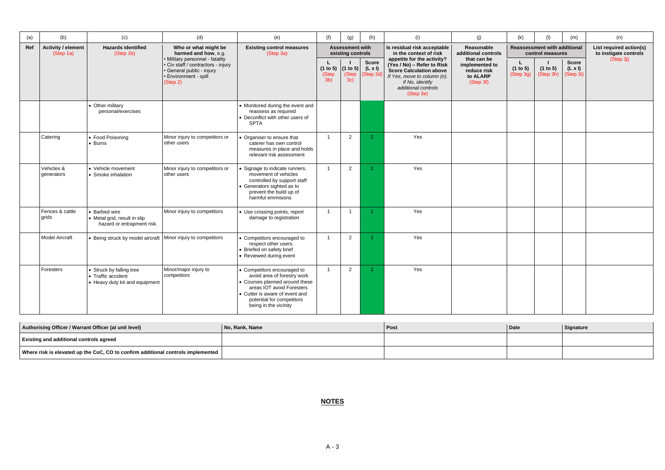| (a) | (b)                                    | (c)                                                                              | (d)                                                                                                                                     | (e)                                                                                                                                                                                                               | (f)                                 | (g)                                         | (h)                                         | (i)                                                                                                                                                                              | (j)                                                                   | (k)                   | (1)                                                     | (m)                                         | (n)                                              |
|-----|----------------------------------------|----------------------------------------------------------------------------------|-----------------------------------------------------------------------------------------------------------------------------------------|-------------------------------------------------------------------------------------------------------------------------------------------------------------------------------------------------------------------|-------------------------------------|---------------------------------------------|---------------------------------------------|----------------------------------------------------------------------------------------------------------------------------------------------------------------------------------|-----------------------------------------------------------------------|-----------------------|---------------------------------------------------------|---------------------------------------------|--------------------------------------------------|
| Ref | <b>Activity / element</b><br>(Step 1a) | <b>Hazards identified</b><br>(Step 1b)                                           | Who or what might be<br>harmed and how, e.g.                                                                                            | <b>Existing control measures</b><br>(Step 3a)                                                                                                                                                                     |                                     | <b>Assessment with</b><br>existing controls |                                             | Is residual risk acceptable<br>in the context of risk                                                                                                                            | Reasonable<br>additional controls                                     |                       | <b>Reassessment with additional</b><br>control measures |                                             | List required action(s)<br>to instigate controls |
|     |                                        |                                                                                  | • Military personnel - fatality<br>• Civ staff / contractors - injury<br>· General public - injury<br>· Environment - spill<br>(Step 2) |                                                                                                                                                                                                                   | (1 to 5)<br>(Step<br>3 <sub>b</sub> | (1 to 5)<br>(Step<br>3c)                    | <b>Score</b><br>$(L \times I)$<br>(Step 3d) | appetite for the activity?<br>(Yes / No) - Refer to Risk<br><b>Score Calculation above</b><br>If Yes, move to column (n).<br>If No, identify<br>additional controls<br>(Step 3e) | that can be<br>implemented to<br>reduce risk<br>to ALARP<br>(Step 3f) | (1 to 5)<br>(Step 3g) | (1 to 5)<br>(Step 3h)                                   | <b>Score</b><br>$(L \times I)$<br>(Step 3i) | (Step 3j)                                        |
|     |                                        | • Other military<br>personal/exercises                                           |                                                                                                                                         | • Monitored during the event and<br>reassess as required<br>• Deconflict with other users of<br><b>SPTA</b>                                                                                                       |                                     |                                             |                                             |                                                                                                                                                                                  |                                                                       |                       |                                                         |                                             |                                                  |
|     | Catering                               | • Food Poisoning<br>$\bullet$ Burns                                              | Minor injury to competitors or<br>other users                                                                                           | Organiser to ensure that<br>caterer has own control<br>measures in place and holds<br>relevant risk assessment                                                                                                    | $\overline{\mathbf{1}}$             | $\overline{2}$                              | $\mathcal{P}$                               | Yes                                                                                                                                                                              |                                                                       |                       |                                                         |                                             |                                                  |
|     | Vehicles &<br>generators               | • Vehicle movement<br>• Smoke inhalation                                         | Minor injury to competitors or<br>other users                                                                                           | Signage to indicate runners,<br>movement of vehicles<br>controlled by support staff<br>• Generators sighted as to<br>prevent the build up of<br>harmful emmisions                                                 | $\overline{1}$                      | $\overline{2}$                              | $\overline{2}$                              | Yes                                                                                                                                                                              |                                                                       |                       |                                                         |                                             |                                                  |
|     | Fences & cattle<br>grids               | <b>Barbed wire</b><br>• Metal grid, result in slip<br>hazard or entrapment risk. | Minor injury to competitors                                                                                                             | • Use crossing points, report<br>damage to registration                                                                                                                                                           | - 1                                 | - 1                                         |                                             | Yes                                                                                                                                                                              |                                                                       |                       |                                                         |                                             |                                                  |
|     | Model Aircraft                         | Being struck by model aircraft   Minor injury to competitors                     |                                                                                                                                         | • Competitors encouraged to<br>respect other users.<br>• Briefed on safety brief<br>• Reviewed during event                                                                                                       | $\overline{\mathbf{1}}$             | $\overline{2}$                              | $\overline{2}$                              | Yes                                                                                                                                                                              |                                                                       |                       |                                                         |                                             |                                                  |
|     | Foresters                              | • Struck by falling tree<br>• Traffic accident<br>• Heavy duty kit and equipment | Minor/major injury to<br>competitors                                                                                                    | • Competitors encouraged to<br>avoid area of forestry work<br>• Courses planned around these<br>areas IOT avoid Foresters<br>• Cutter is aware of event and<br>potential for competitors<br>being in the vicinity | $\overline{\mathbf{1}}$             | $\overline{2}$                              | $\overline{2}$                              | Yes                                                                                                                                                                              |                                                                       |                       |                                                         |                                             |                                                  |

| Authorising Officer / Warrant Officer (at unit level)                            | No. Rank, Name | Post | Date | Signature |
|----------------------------------------------------------------------------------|----------------|------|------|-----------|
| <b>Existing and additional controls agreed</b>                                   |                |      |      |           |
| Where risk is elevated up the CoC, CO to confirm additional controls implemented |                |      |      |           |

**NOTES**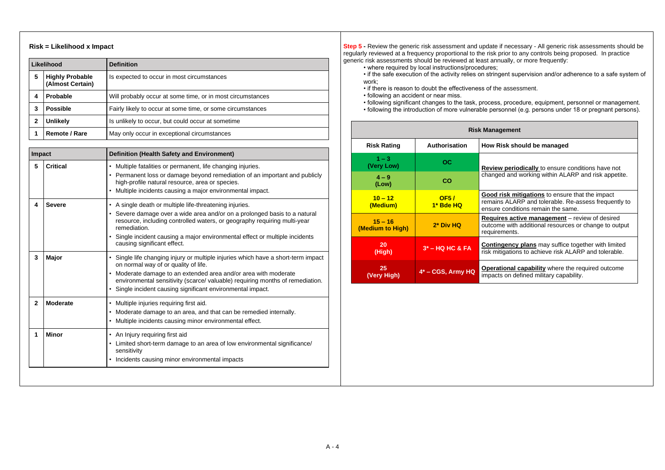## **Risk = Likelihood x Impact**

|   | Likelihood                                 | <b>Definition</b>                                          |
|---|--------------------------------------------|------------------------------------------------------------|
| 5 | <b>Highly Probable</b><br>(Almost Certain) | Is expected to occur in most circumstances                 |
| 4 | <b>Probable</b>                            | Will probably occur at some time, or in most circumstances |
| 3 | <b>Possible</b>                            | Fairly likely to occur at some time, or some circumstances |
| 2 | <b>Unlikely</b>                            | Is unlikely to occur, but could occur at sometime          |
|   | <b>Remote / Rare</b>                       | May only occur in exceptional circumstances                |

**Step 5 -** Review the generic risk assessment and update if necessary - All generic risk assessments should be regularly reviewed at a frequency proportional to the risk prior to any controls being proposed. In practice generic risk assessments should be reviewed at least annually, or more frequently:

| Impact         |                 | <b>Definition (Health Safety and Environment)</b>                                                                                                                                                                                                                                                                                               |  |  |  |  |  |  |  |
|----------------|-----------------|-------------------------------------------------------------------------------------------------------------------------------------------------------------------------------------------------------------------------------------------------------------------------------------------------------------------------------------------------|--|--|--|--|--|--|--|
| 5              | <b>Critical</b> | • Multiple fatalities or permanent, life changing injuries.<br>• Permanent loss or damage beyond remediation of an important and publicly<br>high-profile natural resource, area or species.<br>Multiple incidents causing a major environmental impact.                                                                                        |  |  |  |  |  |  |  |
| 4              | <b>Severe</b>   | • A single death or multiple life-threatening injuries.<br>• Severe damage over a wide area and/or on a prolonged basis to a natural<br>resource, including controlled waters, or geography requiring multi-year<br>remediation.<br>• Single incident causing a major environmental effect or multiple incidents<br>causing significant effect. |  |  |  |  |  |  |  |
| 3              | <b>Major</b>    | • Single life changing injury or multiple injuries which have a short-term impact<br>on normal way of or quality of life.<br>• Moderate damage to an extended area and/or area with moderate<br>environmental sensitivity (scarce/ valuable) requiring months of remediation.<br>• Single incident causing significant environmental impact.    |  |  |  |  |  |  |  |
| $\overline{2}$ | <b>Moderate</b> | • Multiple injuries requiring first aid.<br>• Moderate damage to an area, and that can be remedied internally.<br>• Multiple incidents causing minor environmental effect.                                                                                                                                                                      |  |  |  |  |  |  |  |
| 1              | <b>Minor</b>    | • An Injury requiring first aid<br>• Limited short-term damage to an area of low environmental significance/<br>sensitivity<br>• Incidents causing minor environmental impacts                                                                                                                                                                  |  |  |  |  |  |  |  |
|                |                 |                                                                                                                                                                                                                                                                                                                                                 |  |  |  |  |  |  |  |

• if the safe execution of the activity relies on stringent supervision and/or adherence to a safe system of

- where required by local instructions/procedures;
- work;
- if there is reason to doubt the effectiveness of the assessment.
- following an accident or near miss.
- 
- 

• following significant changes to the task, process, procedure, equipment, personnel or management. • following the introduction of more vulnerable personnel (e.g. persons under 18 or pregnant persons).

| <b>Risk Management</b>        |                      |                                                                                                                                                     |  |  |  |  |  |  |  |
|-------------------------------|----------------------|-----------------------------------------------------------------------------------------------------------------------------------------------------|--|--|--|--|--|--|--|
| <b>Risk Rating</b>            | <b>Authorisation</b> | How Risk should be managed                                                                                                                          |  |  |  |  |  |  |  |
| $1 - 3$<br>(Very Low)         | OC                   | <b>Review periodically</b> to ensure conditions have not                                                                                            |  |  |  |  |  |  |  |
| $4 - 9$<br>(Low)              | CO                   | changed and working within ALARP and risk appetite.                                                                                                 |  |  |  |  |  |  |  |
| $10 - 12$<br>(Medium)         | OF5/<br>1* Bde HQ    | <b>Good risk mitigations</b> to ensure that the impact<br>remains ALARP and tolerable. Re-assess frequently t<br>ensure conditions remain the same. |  |  |  |  |  |  |  |
| $15 - 16$<br>(Medium to High) | 2* Div HQ            | <b>Requires active management</b> – review of desired<br>outcome with additional resources or change to output<br>requirements.                     |  |  |  |  |  |  |  |
| 20<br>(High)                  | $3*$ – HQ HC & FA    | <b>Contingency plans</b> may suffice together with limited<br>risk mitigations to achieve risk ALARP and tolerable.                                 |  |  |  |  |  |  |  |
| 25<br>(Very High)             | 4* - CGS, Army HQ    | <b>Operational capability</b> where the required outcome<br>impacts on defined military capability.                                                 |  |  |  |  |  |  |  |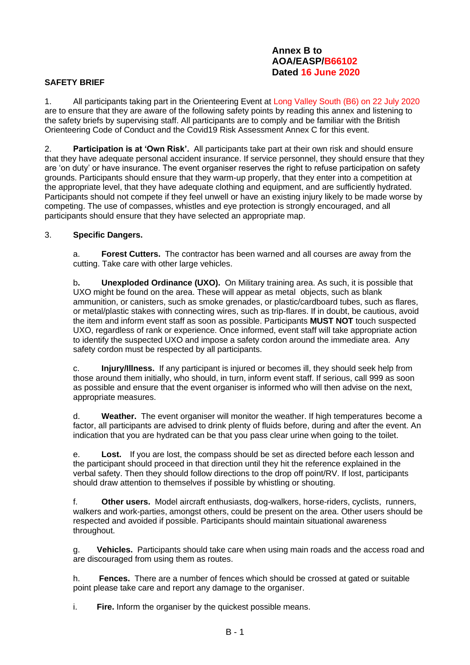### **Annex B to AOA/EASP/B66102 Dated 16 June 2020**

### **SAFETY BRIEF**

1. All participants taking part in the Orienteering Event at Long Valley South (B6) on 22 July 2020 are to ensure that they are aware of the following safety points by reading this annex and listening to the safety briefs by supervising staff. All participants are to comply and be familiar with the British Orienteering Code of Conduct and the Covid19 Risk Assessment Annex C for this event.

2. **Participation is at 'Own Risk'.** All participants take part at their own risk and should ensure that they have adequate personal accident insurance. If service personnel, they should ensure that they are 'on duty' or have insurance. The event organiser reserves the right to refuse participation on safety grounds. Participants should ensure that they warm-up properly, that they enter into a competition at the appropriate level, that they have adequate clothing and equipment, and are sufficiently hydrated. Participants should not compete if they feel unwell or have an existing injury likely to be made worse by competing. The use of compasses, whistles and eye protection is strongly encouraged, and all participants should ensure that they have selected an appropriate map.

#### 3. **Specific Dangers.**

a. **Forest Cutters.** The contractor has been warned and all courses are away from the cutting. Take care with other large vehicles.

b**. Unexploded Ordinance (UXO).** On Military training area. As such, it is possible that UXO might be found on the area. These will appear as metal objects, such as blank ammunition, or canisters, such as smoke grenades, or plastic/cardboard tubes, such as flares, or metal/plastic stakes with connecting wires, such as trip-flares. If in doubt, be cautious, avoid the item and inform event staff as soon as possible. Participants **MUST NOT** touch suspected UXO, regardless of rank or experience. Once informed, event staff will take appropriate action to identify the suspected UXO and impose a safety cordon around the immediate area. Any safety cordon must be respected by all participants.

c. **Injury/Illness.** If any participant is injured or becomes ill, they should seek help from those around them initially, who should, in turn, inform event staff. If serious, call 999 as soon as possible and ensure that the event organiser is informed who will then advise on the next, appropriate measures.

d. **Weather.** The event organiser will monitor the weather. If high temperatures become a factor, all participants are advised to drink plenty of fluids before, during and after the event. An indication that you are hydrated can be that you pass clear urine when going to the toilet.

e. **Lost.** If you are lost, the compass should be set as directed before each lesson and the participant should proceed in that direction until they hit the reference explained in the verbal safety. Then they should follow directions to the drop off point/RV. If lost, participants should draw attention to themselves if possible by whistling or shouting.

f. **Other users.** Model aircraft enthusiasts, dog-walkers, horse-riders, cyclists, runners, walkers and work-parties, amongst others, could be present on the area. Other users should be respected and avoided if possible. Participants should maintain situational awareness throughout.

g. **Vehicles.** Participants should take care when using main roads and the access road and are discouraged from using them as routes.

h. **Fences.** There are a number of fences which should be crossed at gated or suitable point please take care and report any damage to the organiser.

i. **Fire.** Inform the organiser by the quickest possible means.